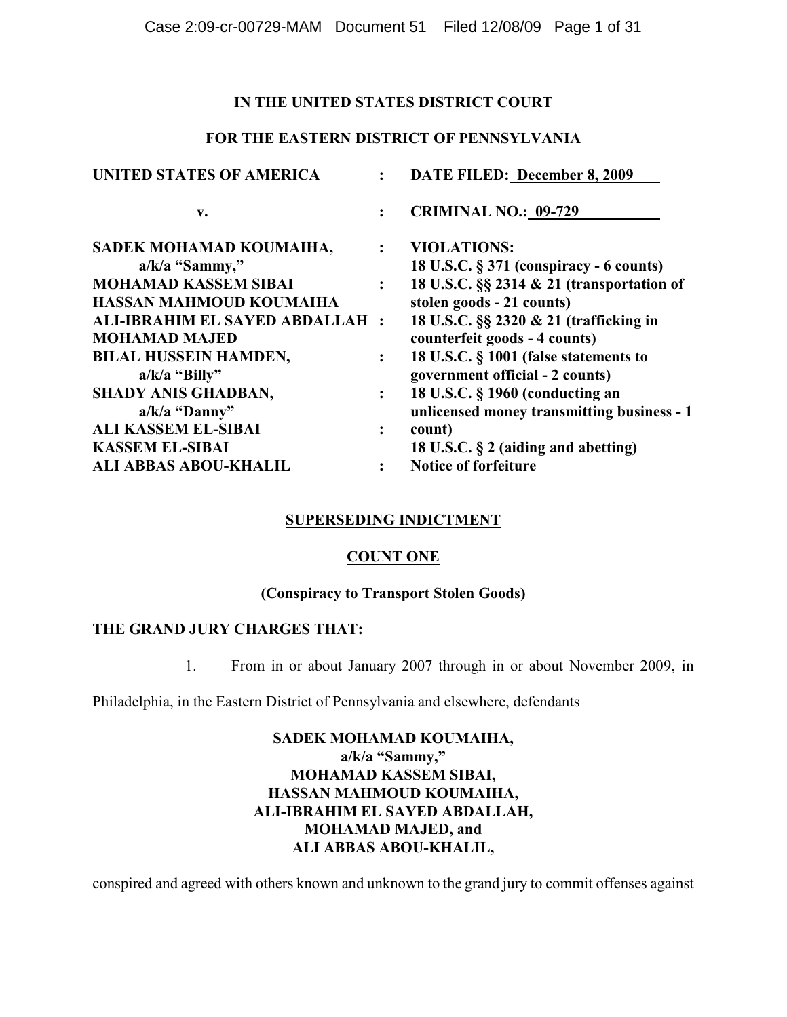## **IN THE UNITED STATES DISTRICT COURT**

## **FOR THE EASTERN DISTRICT OF PENNSYLVANIA**

| <b>UNITED STATES OF AMERICA</b>                                |                | DATE FILED: December 8, 2009                                                  |
|----------------------------------------------------------------|----------------|-------------------------------------------------------------------------------|
| v.                                                             | $\ddot{\cdot}$ | <b>CRIMINAL NO.: 09-729</b>                                                   |
| SADEK MOHAMAD KOUMAIHA,<br>$a/k/a$ "Sammy,"                    |                | <b>VIOLATIONS:</b><br>18 U.S.C. § 371 (conspiracy - 6 counts)                 |
| <b>MOHAMAD KASSEM SIBAI</b><br>HASSAN MAHMOUD KOUMAIHA         | $\ddot{\cdot}$ | 18 U.S.C. §§ 2314 & 21 (transportation of<br>stolen goods - 21 counts)        |
| <b>ALI-IBRAHIM EL SAYED ABDALLAH :</b><br><b>MOHAMAD MAJED</b> |                | 18 U.S.C. §§ 2320 & 21 (trafficking in<br>counterfeit goods - 4 counts)       |
| <b>BILAL HUSSEIN HAMDEN,</b><br>$a/k/a$ "Billy"                | $\ddot{\cdot}$ | 18 U.S.C. § 1001 (false statements to<br>government official - 2 counts)      |
| <b>SHADY ANIS GHADBAN,</b><br>$a/k/a$ "Danny"                  | $\ddot{\cdot}$ | 18 U.S.C. § 1960 (conducting an<br>unlicensed money transmitting business - 1 |
| <b>ALI KASSEM EL-SIBAI</b><br><b>KASSEM EL-SIBAI</b>           | $\ddot{\cdot}$ | count)<br>18 U.S.C. $\S$ 2 (aiding and abetting)                              |
| ALI ABBAS ABOU-KHALIL                                          |                | <b>Notice of forfeiture</b>                                                   |

# **SUPERSEDING INDICTMENT**

# **COUNT ONE**

## **(Conspiracy to Transport Stolen Goods)**

## **THE GRAND JURY CHARGES THAT:**

1. From in or about January 2007 through in or about November 2009, in

Philadelphia, in the Eastern District of Pennsylvania and elsewhere, defendants

# **SADEK MOHAMAD KOUMAIHA, a/k/a "Sammy," MOHAMAD KASSEM SIBAI, HASSAN MAHMOUD KOUMAIHA, ALI-IBRAHIM EL SAYED ABDALLAH, MOHAMAD MAJED, and ALI ABBAS ABOU-KHALIL,**

conspired and agreed with others known and unknown to the grand jury to commit offenses against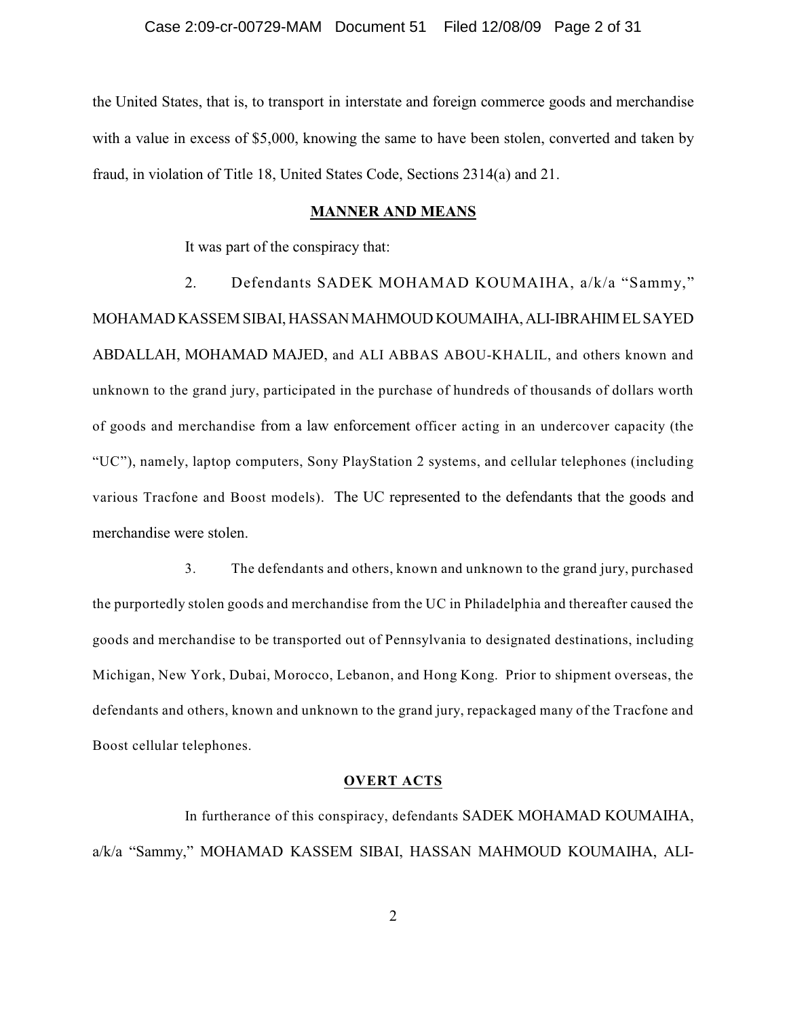the United States, that is, to transport in interstate and foreign commerce goods and merchandise with a value in excess of \$5,000, knowing the same to have been stolen, converted and taken by fraud, in violation of Title 18, United States Code, Sections 2314(a) and 21.

## **MANNER AND MEANS**

It was part of the conspiracy that:

 2. Defendants SADEK MOHAMAD KOUMAIHA, a/k/a "Sammy," MOHAMAD KASSEM SIBAI, HASSAN MAHMOUD KOUMAIHA, ALI-IBRAHIM EL SAYED ABDALLAH, MOHAMAD MAJED, and ALI ABBAS ABOU-KHALIL, and others known and unknown to the grand jury, participated in the purchase of hundreds of thousands of dollars worth of goods and merchandise from a law enforcement officer acting in an undercover capacity (the "UC"), namely, laptop computers, Sony PlayStation 2 systems, and cellular telephones (including various Tracfone and Boost models). The UC represented to the defendants that the goods and merchandise were stolen.

3. The defendants and others, known and unknown to the grand jury, purchased the purportedly stolen goods and merchandise from the UC in Philadelphia and thereafter caused the goods and merchandise to be transported out of Pennsylvania to designated destinations, including Michigan, New York, Dubai, Morocco, Lebanon, and Hong Kong. Prior to shipment overseas, the defendants and others, known and unknown to the grand jury, repackaged many of the Tracfone and Boost cellular telephones.

#### **OVERT ACTS**

In furtherance of this conspiracy, defendants SADEK MOHAMAD KOUMAIHA, a/k/a "Sammy," MOHAMAD KASSEM SIBAI, HASSAN MAHMOUD KOUMAIHA, ALI-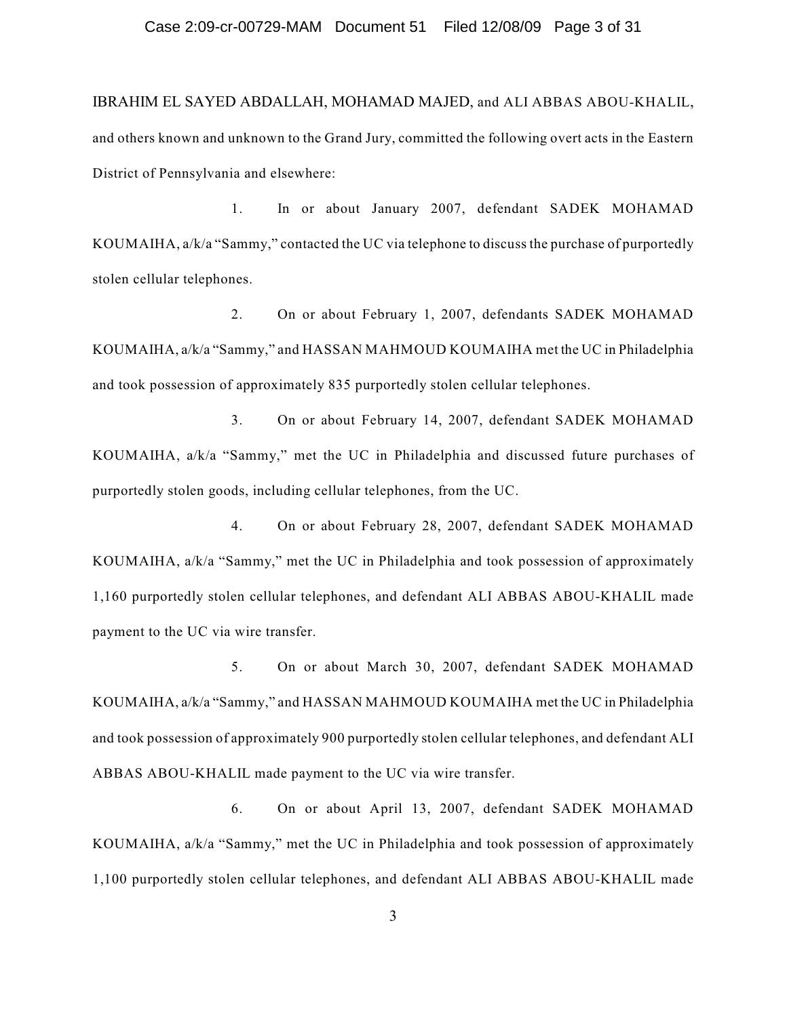### Case 2:09-cr-00729-MAM Document 51 Filed 12/08/09 Page 3 of 31

IBRAHIM EL SAYED ABDALLAH, MOHAMAD MAJED, and ALI ABBAS ABOU-KHALIL, and others known and unknown to the Grand Jury, committed the following overt acts in the Eastern District of Pennsylvania and elsewhere:

1. In or about January 2007, defendant SADEK MOHAMAD KOUMAIHA, a/k/a "Sammy," contacted the UC via telephone to discuss the purchase of purportedly stolen cellular telephones.

2. On or about February 1, 2007, defendants SADEK MOHAMAD KOUMAIHA, a/k/a "Sammy," and HASSAN MAHMOUD KOUMAIHA met the UC in Philadelphia and took possession of approximately 835 purportedly stolen cellular telephones.

3. On or about February 14, 2007, defendant SADEK MOHAMAD KOUMAIHA, a/k/a "Sammy," met the UC in Philadelphia and discussed future purchases of purportedly stolen goods, including cellular telephones, from the UC.

4. On or about February 28, 2007, defendant SADEK MOHAMAD KOUMAIHA, a/k/a "Sammy," met the UC in Philadelphia and took possession of approximately 1,160 purportedly stolen cellular telephones, and defendant ALI ABBAS ABOU-KHALIL made payment to the UC via wire transfer.

5. On or about March 30, 2007, defendant SADEK MOHAMAD KOUMAIHA, a/k/a "Sammy," and HASSAN MAHMOUD KOUMAIHA met the UC in Philadelphia and took possession of approximately 900 purportedly stolen cellular telephones, and defendant ALI ABBAS ABOU-KHALIL made payment to the UC via wire transfer.

6. On or about April 13, 2007, defendant SADEK MOHAMAD KOUMAIHA, a/k/a "Sammy," met the UC in Philadelphia and took possession of approximately 1,100 purportedly stolen cellular telephones, and defendant ALI ABBAS ABOU-KHALIL made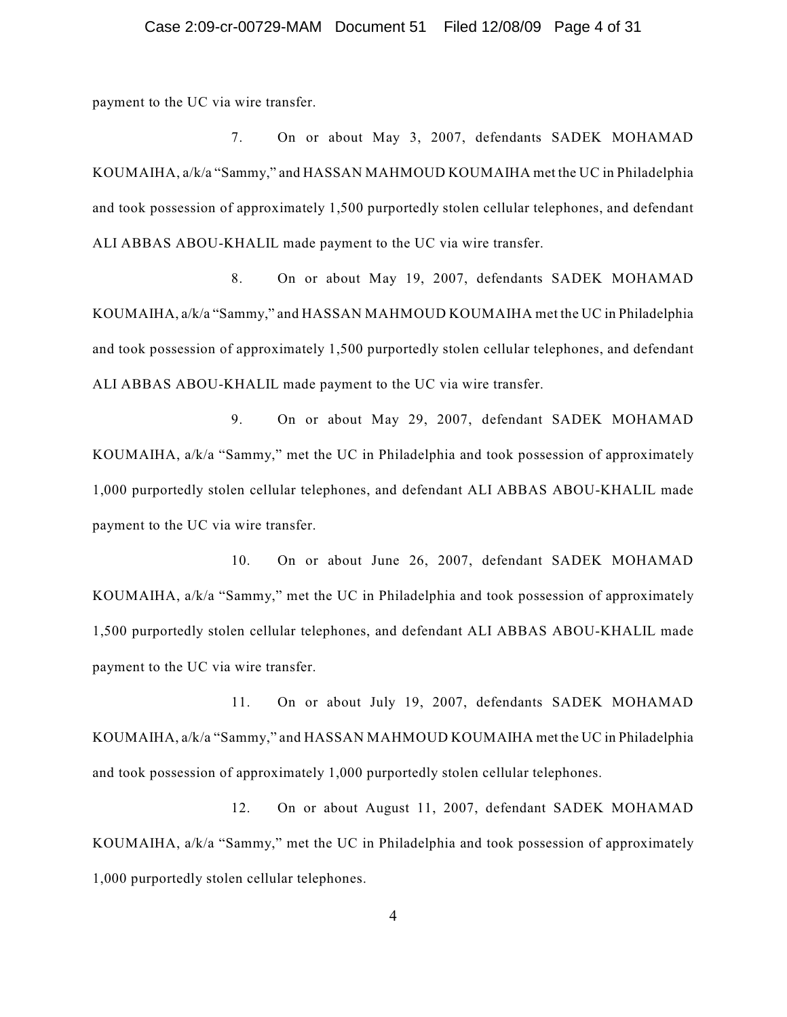### Case 2:09-cr-00729-MAM Document 51 Filed 12/08/09 Page 4 of 31

payment to the UC via wire transfer.

7. On or about May 3, 2007, defendants SADEK MOHAMAD KOUMAIHA, a/k/a "Sammy," and HASSAN MAHMOUD KOUMAIHA met the UC in Philadelphia and took possession of approximately 1,500 purportedly stolen cellular telephones, and defendant ALI ABBAS ABOU-KHALIL made payment to the UC via wire transfer.

8. On or about May 19, 2007, defendants SADEK MOHAMAD KOUMAIHA, a/k/a "Sammy," and HASSAN MAHMOUD KOUMAIHA met the UC in Philadelphia and took possession of approximately 1,500 purportedly stolen cellular telephones, and defendant ALI ABBAS ABOU-KHALIL made payment to the UC via wire transfer.

9. On or about May 29, 2007, defendant SADEK MOHAMAD KOUMAIHA, a/k/a "Sammy," met the UC in Philadelphia and took possession of approximately 1,000 purportedly stolen cellular telephones, and defendant ALI ABBAS ABOU-KHALIL made payment to the UC via wire transfer.

10. On or about June 26, 2007, defendant SADEK MOHAMAD KOUMAIHA, a/k/a "Sammy," met the UC in Philadelphia and took possession of approximately 1,500 purportedly stolen cellular telephones, and defendant ALI ABBAS ABOU-KHALIL made payment to the UC via wire transfer.

11. On or about July 19, 2007, defendants SADEK MOHAMAD KOUMAIHA, a/k/a "Sammy," and HASSAN MAHMOUD KOUMAIHA met the UC in Philadelphia and took possession of approximately 1,000 purportedly stolen cellular telephones.

12. On or about August 11, 2007, defendant SADEK MOHAMAD KOUMAIHA, a/k/a "Sammy," met the UC in Philadelphia and took possession of approximately 1,000 purportedly stolen cellular telephones.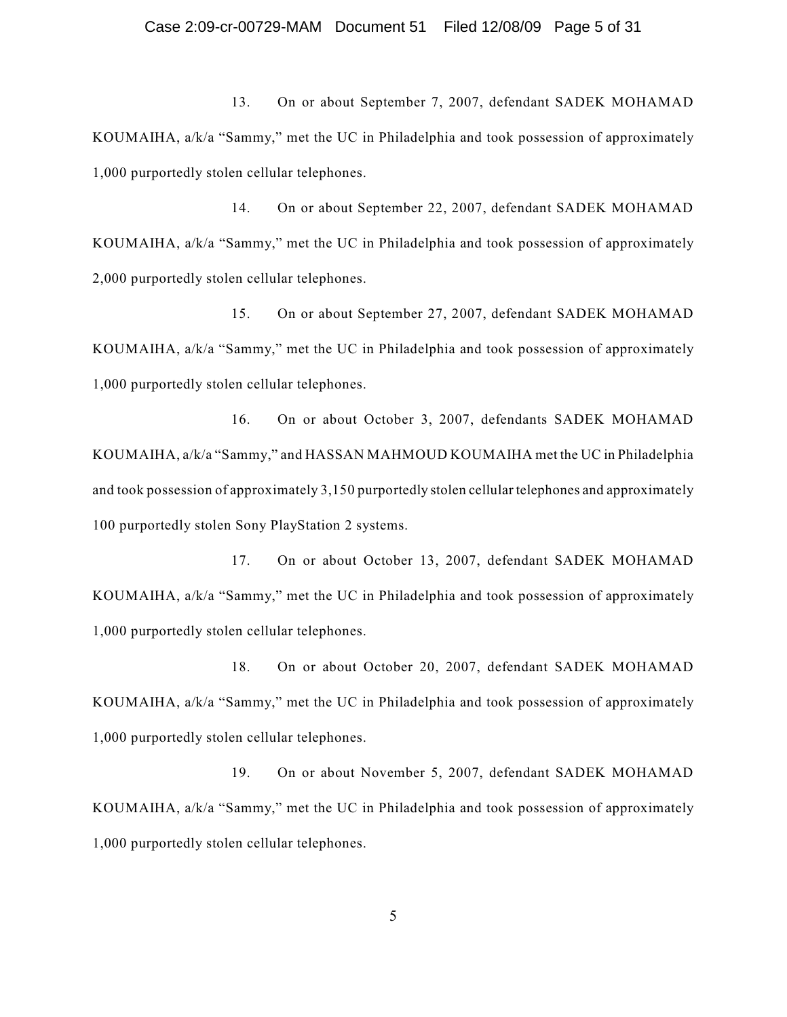13. On or about September 7, 2007, defendant SADEK MOHAMAD KOUMAIHA, a/k/a "Sammy," met the UC in Philadelphia and took possession of approximately 1,000 purportedly stolen cellular telephones.

14. On or about September 22, 2007, defendant SADEK MOHAMAD KOUMAIHA, a/k/a "Sammy," met the UC in Philadelphia and took possession of approximately 2,000 purportedly stolen cellular telephones.

15. On or about September 27, 2007, defendant SADEK MOHAMAD KOUMAIHA, a/k/a "Sammy," met the UC in Philadelphia and took possession of approximately 1,000 purportedly stolen cellular telephones.

16. On or about October 3, 2007, defendants SADEK MOHAMAD KOUMAIHA, a/k/a "Sammy," and HASSAN MAHMOUD KOUMAIHA met the UC in Philadelphia and took possession of approximately 3,150 purportedly stolen cellular telephones and approximately 100 purportedly stolen Sony PlayStation 2 systems.

17. On or about October 13, 2007, defendant SADEK MOHAMAD KOUMAIHA, a/k/a "Sammy," met the UC in Philadelphia and took possession of approximately 1,000 purportedly stolen cellular telephones.

18. On or about October 20, 2007, defendant SADEK MOHAMAD KOUMAIHA, a/k/a "Sammy," met the UC in Philadelphia and took possession of approximately 1,000 purportedly stolen cellular telephones.

19. On or about November 5, 2007, defendant SADEK MOHAMAD KOUMAIHA, a/k/a "Sammy," met the UC in Philadelphia and took possession of approximately 1,000 purportedly stolen cellular telephones.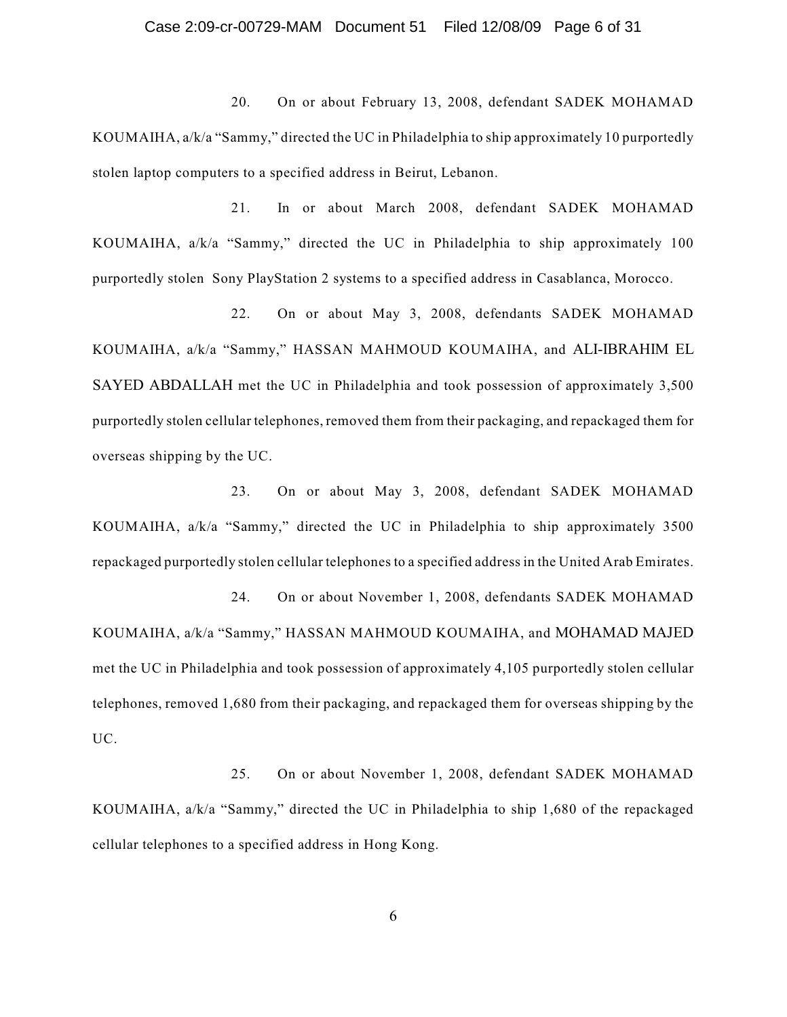### Case 2:09-cr-00729-MAM Document 51 Filed 12/08/09 Page 6 of 31

20. On or about February 13, 2008, defendant SADEK MOHAMAD KOUMAIHA, a/k/a "Sammy," directed the UC in Philadelphia to ship approximately 10 purportedly stolen laptop computers to a specified address in Beirut, Lebanon.

21. In or about March 2008, defendant SADEK MOHAMAD KOUMAIHA, a/k/a "Sammy," directed the UC in Philadelphia to ship approximately 100 purportedly stolen Sony PlayStation 2 systems to a specified address in Casablanca, Morocco.

22. On or about May 3, 2008, defendants SADEK MOHAMAD KOUMAIHA, a/k/a "Sammy," HASSAN MAHMOUD KOUMAIHA, and ALI-IBRAHIM EL SAYED ABDALLAH met the UC in Philadelphia and took possession of approximately 3,500 purportedly stolen cellular telephones, removed them from their packaging, and repackaged them for overseas shipping by the UC.

23. On or about May 3, 2008, defendant SADEK MOHAMAD KOUMAIHA, a/k/a "Sammy," directed the UC in Philadelphia to ship approximately 3500 repackaged purportedly stolen cellular telephones to a specified address in the United Arab Emirates.

24. On or about November 1, 2008, defendants SADEK MOHAMAD KOUMAIHA, a/k/a "Sammy," HASSAN MAHMOUD KOUMAIHA, and MOHAMAD MAJED met the UC in Philadelphia and took possession of approximately 4,105 purportedly stolen cellular telephones, removed 1,680 from their packaging, and repackaged them for overseas shipping by the UC.

25. On or about November 1, 2008, defendant SADEK MOHAMAD KOUMAIHA, a/k/a "Sammy," directed the UC in Philadelphia to ship 1,680 of the repackaged cellular telephones to a specified address in Hong Kong.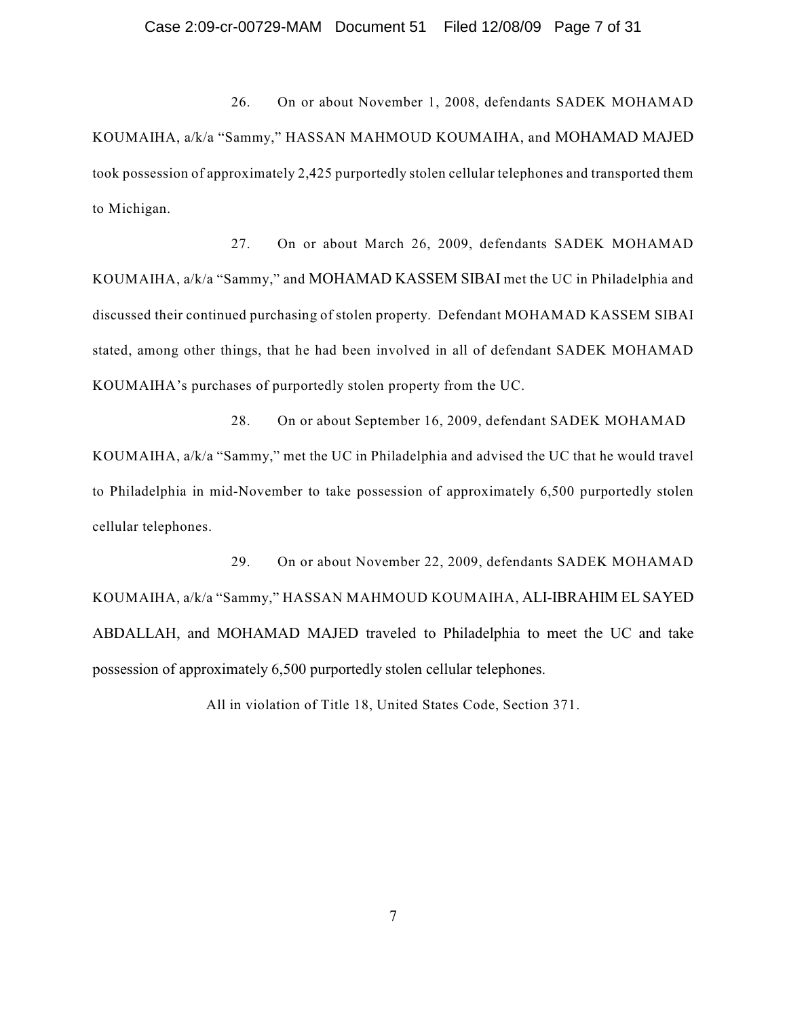## Case 2:09-cr-00729-MAM Document 51 Filed 12/08/09 Page 7 of 31

26. On or about November 1, 2008, defendants SADEK MOHAMAD KOUMAIHA, a/k/a "Sammy," HASSAN MAHMOUD KOUMAIHA, and MOHAMAD MAJED took possession of approximately 2,425 purportedly stolen cellular telephones and transported them to Michigan.

27. On or about March 26, 2009, defendants SADEK MOHAMAD KOUMAIHA, a/k/a "Sammy," and MOHAMAD KASSEM SIBAI met the UC in Philadelphia and discussed their continued purchasing of stolen property. Defendant MOHAMAD KASSEM SIBAI stated, among other things, that he had been involved in all of defendant SADEK MOHAMAD KOUMAIHA's purchases of purportedly stolen property from the UC.

28. On or about September 16, 2009, defendant SADEK MOHAMAD KOUMAIHA, a/k/a "Sammy," met the UC in Philadelphia and advised the UC that he would travel to Philadelphia in mid-November to take possession of approximately 6,500 purportedly stolen cellular telephones.

29. On or about November 22, 2009, defendants SADEK MOHAMAD KOUMAIHA, a/k/a "Sammy," HASSAN MAHMOUD KOUMAIHA, ALI-IBRAHIM EL SAYED ABDALLAH, and MOHAMAD MAJED traveled to Philadelphia to meet the UC and take possession of approximately 6,500 purportedly stolen cellular telephones.

All in violation of Title 18, United States Code, Section 371.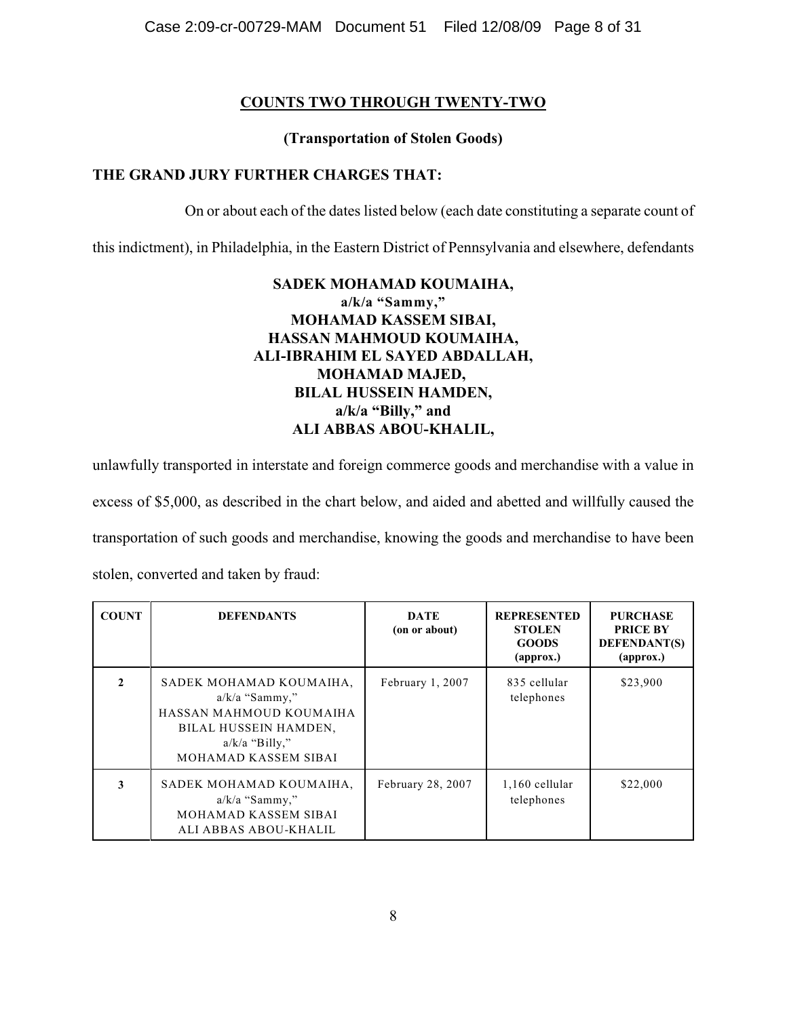# **COUNTS TWO THROUGH TWENTY-TWO**

# **(Transportation of Stolen Goods)**

## **THE GRAND JURY FURTHER CHARGES THAT:**

On or about each of the dates listed below (each date constituting a separate count of

this indictment), in Philadelphia, in the Eastern District of Pennsylvania and elsewhere, defendants

# **SADEK MOHAMAD KOUMAIHA, a/k/a "Sammy," MOHAMAD KASSEM SIBAI, HASSAN MAHMOUD KOUMAIHA, ALI-IBRAHIM EL SAYED ABDALLAH, MOHAMAD MAJED, BILAL HUSSEIN HAMDEN, a/k/a "Billy," and ALI ABBAS ABOU-KHALIL,**

unlawfully transported in interstate and foreign commerce goods and merchandise with a value in excess of \$5,000, as described in the chart below, and aided and abetted and willfully caused the transportation of such goods and merchandise, knowing the goods and merchandise to have been stolen, converted and taken by fraud:

| <b>COUNT</b> | <b>DEFENDANTS</b>                                                                                                                                  | <b>DATE</b><br>(on or about) | <b>REPRESENTED</b><br><b>STOLEN</b><br><b>GOODS</b><br>${\rm (approx.)}$ | <b>PURCHASE</b><br><b>PRICE BY</b><br><b>DEFENDANT(S)</b><br>(approx.) |
|--------------|----------------------------------------------------------------------------------------------------------------------------------------------------|------------------------------|--------------------------------------------------------------------------|------------------------------------------------------------------------|
| $\mathbf{v}$ | SADEK MOHAMAD KOUMAIHA,<br>$a/k/a$ "Sammy,"<br>HASSAN MAHMOUD KOUMAIHA<br>BILAL HUSSEIN HAMDEN,<br>$a/k/a$ "Billy,"<br><b>MOHAMAD KASSEM SIBAI</b> | February 1, 2007             | 835 cellular<br>telephones                                               | \$23,900                                                               |
| 3            | SADEK MOHAMAD KOUMAIHA,<br>$a/k/a$ "Sammy,"<br><b>MOHAMAD KASSEM SIBAI</b><br>ALI ABBAS ABOU-KHALIL                                                | February 28, 2007            | 1,160 cellular<br>telephones                                             | \$22,000                                                               |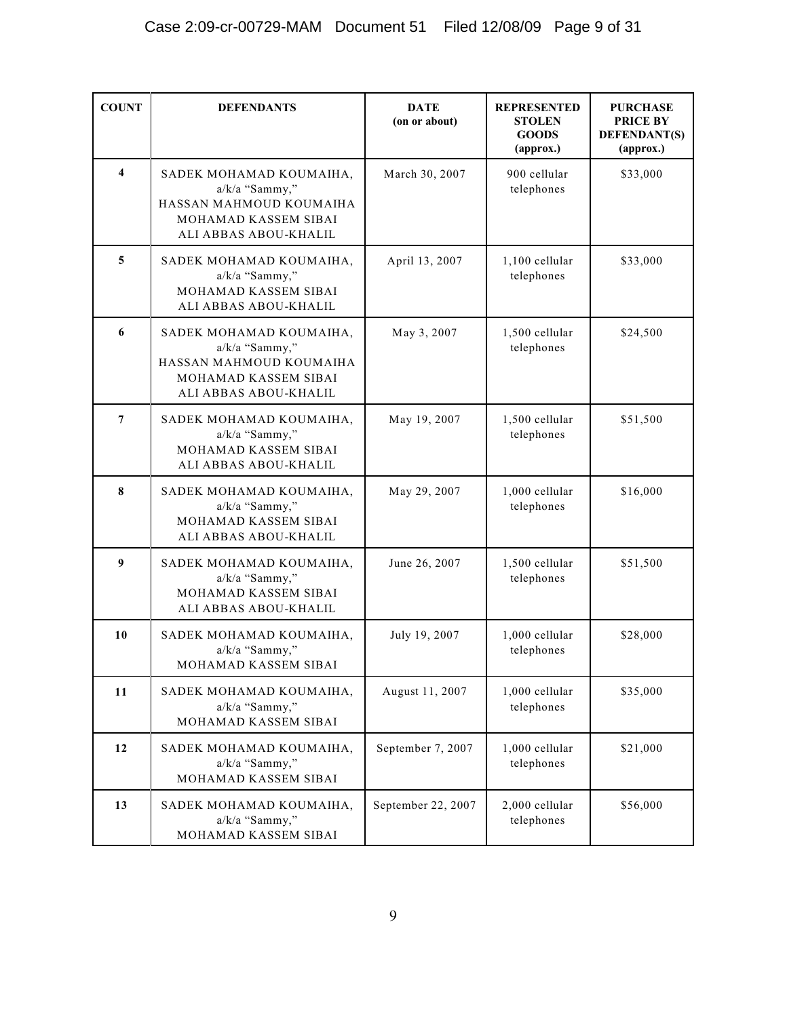| <b>COUNT</b>            | <b>DEFENDANTS</b>                                                                                                     | <b>DATE</b><br>(on or about) | <b>REPRESENTED</b><br><b>STOLEN</b><br><b>GOODS</b><br>(approx.) | <b>PURCHASE</b><br><b>PRICE BY</b><br>DEFENDANT(S)<br>(approx.) |
|-------------------------|-----------------------------------------------------------------------------------------------------------------------|------------------------------|------------------------------------------------------------------|-----------------------------------------------------------------|
| $\overline{\mathbf{4}}$ | SADEK MOHAMAD KOUMAIHA,<br>a/k/a "Sammy,"<br>HASSAN MAHMOUD KOUMAIHA<br>MOHAMAD KASSEM SIBAI<br>ALI ABBAS ABOU-KHALIL | March 30, 2007               | 900 cellular<br>telephones                                       | \$33,000                                                        |
| 5                       | SADEK MOHAMAD KOUMAIHA,<br>a/k/a "Sammy,"<br>MOHAMAD KASSEM SIBAI<br>ALI ABBAS ABOU-KHALIL                            | April 13, 2007               | 1,100 cellular<br>telephones                                     | \$33,000                                                        |
| 6                       | SADEK MOHAMAD KOUMAIHA,<br>a/k/a "Sammy,"<br>HASSAN MAHMOUD KOUMAIHA<br>MOHAMAD KASSEM SIBAI<br>ALI ABBAS ABOU-KHALIL | May 3, 2007                  | 1,500 cellular<br>telephones                                     | \$24,500                                                        |
| $7\phantom{.0}$         | SADEK MOHAMAD KOUMAIHA,<br>a/k/a "Sammy,"<br>MOHAMAD KASSEM SIBAI<br>ALI ABBAS ABOU-KHALIL                            | May 19, 2007                 | 1,500 cellular<br>telephones                                     | \$51,500                                                        |
| 8                       | SADEK MOHAMAD KOUMAIHA,<br>a/k/a "Sammy,"<br>MOHAMAD KASSEM SIBAI<br>ALI ABBAS ABOU-KHALIL                            | May 29, 2007                 | 1,000 cellular<br>telephones                                     | \$16,000                                                        |
| 9                       | SADEK MOHAMAD KOUMAIHA,<br>a/k/a "Sammy,"<br>MOHAMAD KASSEM SIBAI<br>ALI ABBAS ABOU-KHALIL                            | June 26, 2007                | 1,500 cellular<br>telephones                                     | \$51,500                                                        |
| 10                      | SADEK MOHAMAD KOUMAIHA,<br>a/k/a "Sammy,"<br>MOHAMAD KASSEM SIBAI                                                     | July 19, 2007                | 1,000 cellular<br>telephones                                     | \$28,000                                                        |
| 11                      | SADEK MOHAMAD KOUMAIHA,<br>a/k/a "Sammy,"<br>MOHAMAD KASSEM SIBAI                                                     | August 11, 2007              | 1,000 cellular<br>telephones                                     | \$35,000                                                        |
| 12                      | SADEK MOHAMAD KOUMAIHA,<br>a/k/a "Sammy,"<br>MOHAMAD KASSEM SIBAI                                                     | September 7, 2007            | 1,000 cellular<br>telephones                                     | \$21,000                                                        |
| 13                      | SADEK MOHAMAD KOUMAIHA,<br>a/k/a "Sammy,"<br>MOHAMAD KASSEM SIBAI                                                     | September 22, 2007           | 2,000 cellular<br>telephones                                     | \$56,000                                                        |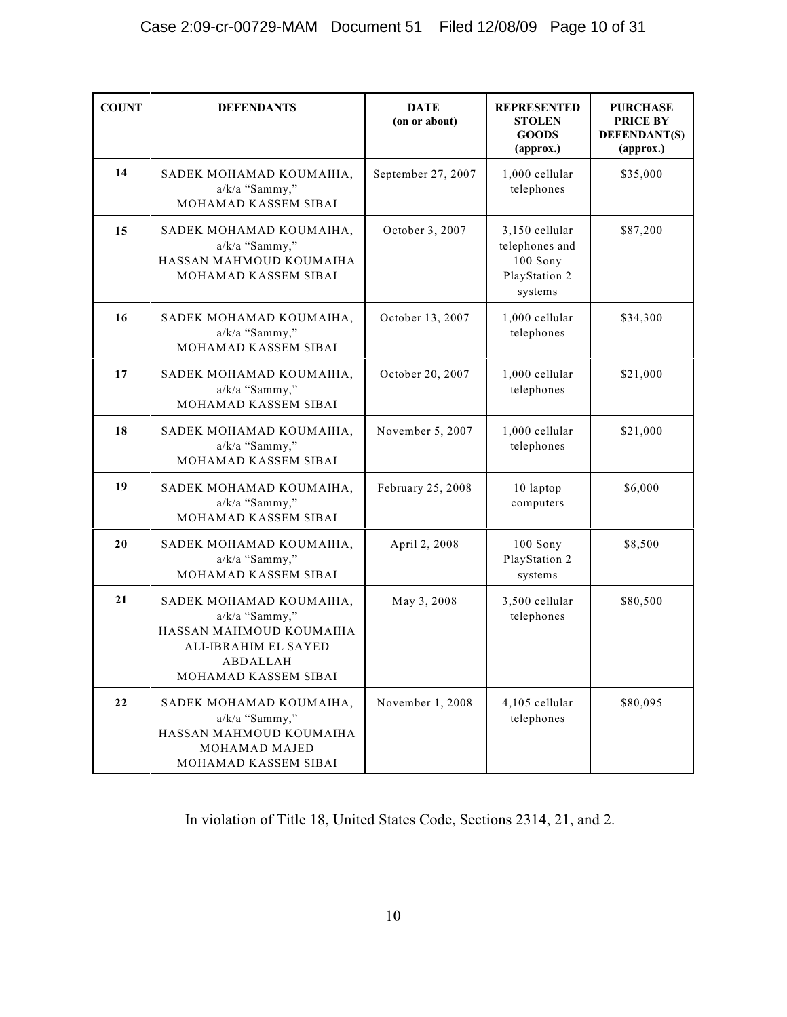| <b>COUNT</b> | <b>DEFENDANTS</b>                                                                                                                              | <b>DATE</b><br>(on or about) | <b>REPRESENTED</b><br><b>STOLEN</b><br><b>GOODS</b><br>(approx.)         | <b>PURCHASE</b><br><b>PRICE BY</b><br>DEFENDANT(S)<br>(approx.) |
|--------------|------------------------------------------------------------------------------------------------------------------------------------------------|------------------------------|--------------------------------------------------------------------------|-----------------------------------------------------------------|
| 14           | SADEK MOHAMAD KOUMAIHA,<br>$a/k/a$ "Sammy,"<br>MOHAMAD KASSEM SIBAI                                                                            | September 27, 2007           | 1,000 cellular<br>telephones                                             | \$35,000                                                        |
| 15           | SADEK MOHAMAD KOUMAIHA,<br>a/k/a "Sammy,"<br>HASSAN MAHMOUD KOUMAIHA<br>MOHAMAD KASSEM SIBAI                                                   | October 3, 2007              | 3,150 cellular<br>telephones and<br>100 Sony<br>PlayStation 2<br>systems | \$87,200                                                        |
| 16           | SADEK MOHAMAD KOUMAIHA,<br>a/k/a "Sammy,"<br>MOHAMAD KASSEM SIBAI                                                                              | October 13, 2007             | 1,000 cellular<br>telephones                                             | \$34,300                                                        |
| 17           | SADEK MOHAMAD KOUMAIHA,<br>a/k/a "Sammy,"<br>MOHAMAD KASSEM SIBAI                                                                              | October 20, 2007             | 1,000 cellular<br>telephones                                             | \$21,000                                                        |
| 18           | SADEK MOHAMAD KOUMAIHA,<br>$a/k/a$ "Sammy,"<br>MOHAMAD KASSEM SIBAI                                                                            | November 5, 2007             | 1,000 cellular<br>telephones                                             | \$21,000                                                        |
| 19           | SADEK MOHAMAD KOUMAIHA,<br>a/k/a "Sammy,"<br>MOHAMAD KASSEM SIBAI                                                                              | February 25, 2008            | 10 laptop<br>computers                                                   | \$6,000                                                         |
| 20           | SADEK MOHAMAD KOUMAIHA,<br>a/k/a "Sammy,"<br>MOHAMAD KASSEM SIBAI                                                                              | April 2, 2008                | 100 Sony<br>PlayStation 2<br>systems                                     | \$8,500                                                         |
| 21           | SADEK MOHAMAD KOUMAIHA,<br>a/k/a "Sammy,"<br>HASSAN MAHMOUD KOUMAIHA<br><b>ALI-IBRAHIM EL SAYED</b><br><b>ABDALLAH</b><br>MOHAMAD KASSEM SIBAI | May 3, 2008                  | 3,500 cellular<br>telephones                                             | \$80,500                                                        |
| 22           | SADEK MOHAMAD KOUMAIHA,<br>a/k/a "Sammy,"<br>HASSAN MAHMOUD KOUMAIHA<br>MOHAMAD MAJED<br>MOHAMAD KASSEM SIBAI                                  | November 1, 2008             | 4,105 cellular<br>telephones                                             | \$80,095                                                        |

In violation of Title 18, United States Code, Sections 2314, 21, and 2.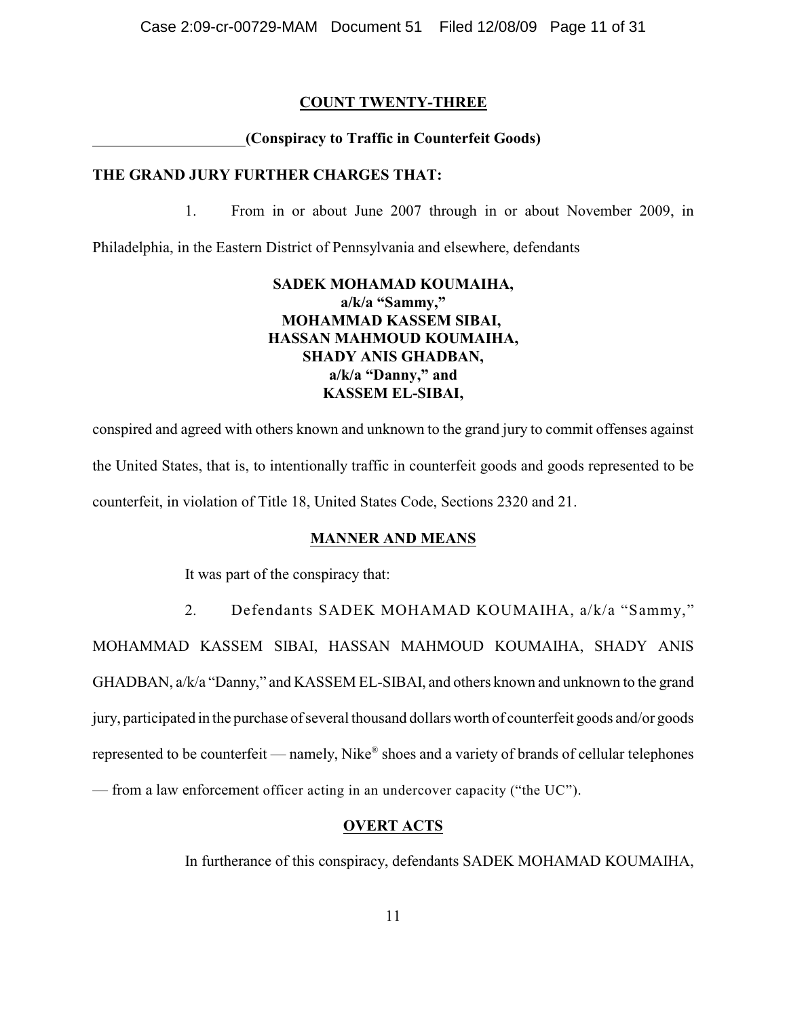## **COUNT TWENTY-THREE**

### **(Conspiracy to Traffic in Counterfeit Goods)**

### **THE GRAND JURY FURTHER CHARGES THAT:**

1. From in or about June 2007 through in or about November 2009, in

Philadelphia, in the Eastern District of Pennsylvania and elsewhere, defendants

## **SADEK MOHAMAD KOUMAIHA, a/k/a "Sammy," MOHAMMAD KASSEM SIBAI, HASSAN MAHMOUD KOUMAIHA, SHADY ANIS GHADBAN, a/k/a "Danny," and KASSEM EL-SIBAI,**

conspired and agreed with others known and unknown to the grand jury to commit offenses against the United States, that is, to intentionally traffic in counterfeit goods and goods represented to be counterfeit, in violation of Title 18, United States Code, Sections 2320 and 21.

## **MANNER AND MEANS**

It was part of the conspiracy that:

2. Defendants SADEK MOHAMAD KOUMAIHA, a/k/a "Sammy,"

MOHAMMAD KASSEM SIBAI, HASSAN MAHMOUD KOUMAIHA, SHADY ANIS GHADBAN, a/k/a "Danny," and KASSEM EL-SIBAI, and others known and unknown to the grand jury, participated in the purchase of several thousand dollars worth of counterfeit goods and/or goods represented to be counterfeit — namely, Nike® shoes and a variety of brands of cellular telephones — from a law enforcement officer acting in an undercover capacity ("the UC").

## **OVERT ACTS**

In furtherance of this conspiracy, defendants SADEK MOHAMAD KOUMAIHA,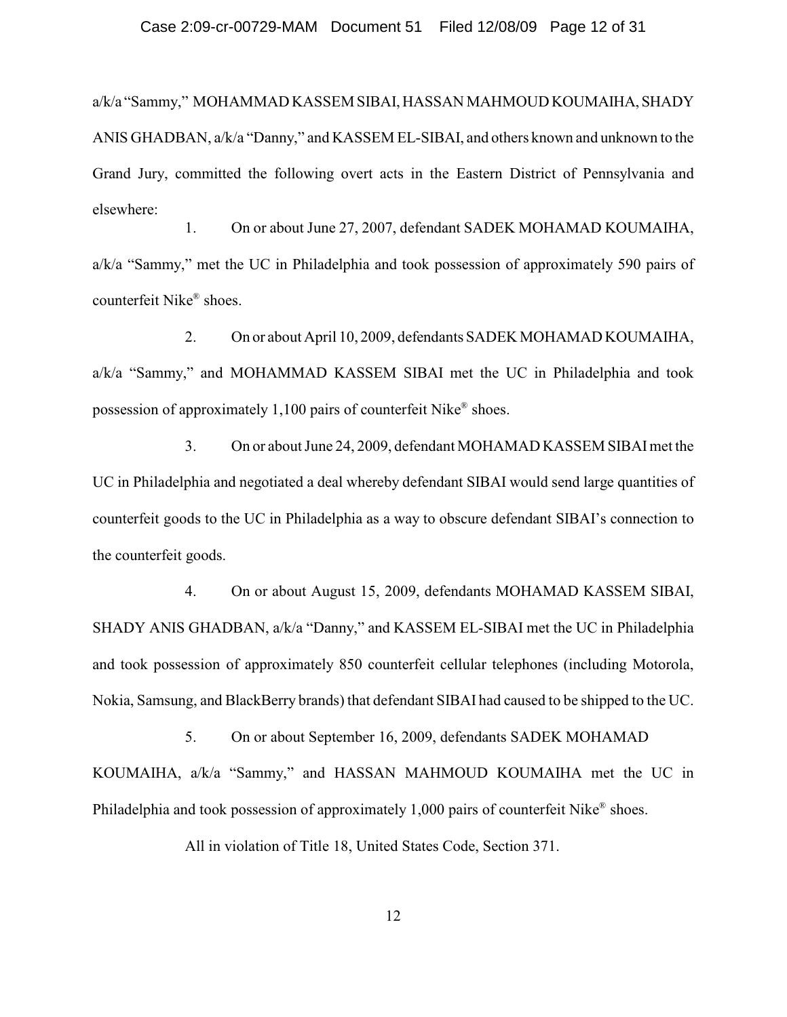#### Case 2:09-cr-00729-MAM Document 51 Filed 12/08/09 Page 12 of 31

a/k/a "Sammy," MOHAMMAD KASSEM SIBAI, HASSAN MAHMOUD KOUMAIHA, SHADY ANIS GHADBAN, a/k/a "Danny," and KASSEM EL-SIBAI, and others known and unknown to the Grand Jury, committed the following overt acts in the Eastern District of Pennsylvania and elsewhere:

1. On or about June 27, 2007, defendant SADEK MOHAMAD KOUMAIHA, a/k/a "Sammy," met the UC in Philadelphia and took possession of approximately 590 pairs of counterfeit Nike<sup>®</sup> shoes.

2. On or about April 10, 2009, defendants SADEK MOHAMAD KOUMAIHA, a/k/a "Sammy," and MOHAMMAD KASSEM SIBAI met the UC in Philadelphia and took possession of approximately 1,100 pairs of counterfeit Nike<sup>®</sup> shoes.

3. On or about June 24, 2009, defendant MOHAMAD KASSEM SIBAI met the UC in Philadelphia and negotiated a deal whereby defendant SIBAI would send large quantities of counterfeit goods to the UC in Philadelphia as a way to obscure defendant SIBAI's connection to the counterfeit goods.

4. On or about August 15, 2009, defendants MOHAMAD KASSEM SIBAI, SHADY ANIS GHADBAN, a/k/a "Danny," and KASSEM EL-SIBAI met the UC in Philadelphia and took possession of approximately 850 counterfeit cellular telephones (including Motorola, Nokia, Samsung, and BlackBerry brands) that defendant SIBAI had caused to be shipped to the UC.

5. On or about September 16, 2009, defendants SADEK MOHAMAD KOUMAIHA, a/k/a "Sammy," and HASSAN MAHMOUD KOUMAIHA met the UC in Philadelphia and took possession of approximately 1,000 pairs of counterfeit Nike<sup>®</sup> shoes.

All in violation of Title 18, United States Code, Section 371.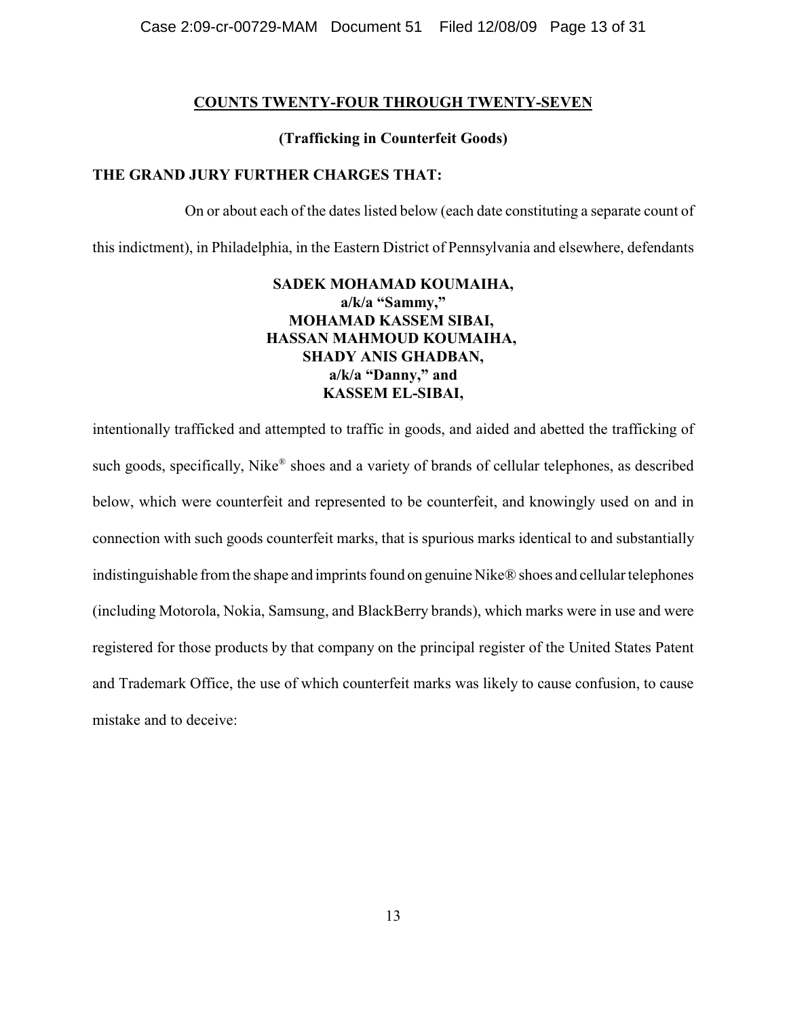## **COUNTS TWENTY-FOUR THROUGH TWENTY-SEVEN**

## **(Trafficking in Counterfeit Goods)**

## **THE GRAND JURY FURTHER CHARGES THAT:**

On or about each of the dates listed below (each date constituting a separate count of

this indictment), in Philadelphia, in the Eastern District of Pennsylvania and elsewhere, defendants

## **SADEK MOHAMAD KOUMAIHA, a/k/a "Sammy," MOHAMAD KASSEM SIBAI, HASSAN MAHMOUD KOUMAIHA, SHADY ANIS GHADBAN, a/k/a "Danny," and KASSEM EL-SIBAI,**

intentionally trafficked and attempted to traffic in goods, and aided and abetted the trafficking of such goods, specifically, Nike<sup>®</sup> shoes and a variety of brands of cellular telephones, as described below, which were counterfeit and represented to be counterfeit, and knowingly used on and in connection with such goods counterfeit marks, that is spurious marks identical to and substantially indistinguishable from the shape and imprints found on genuine Nike® shoes and cellular telephones (including Motorola, Nokia, Samsung, and BlackBerry brands), which marks were in use and were registered for those products by that company on the principal register of the United States Patent and Trademark Office, the use of which counterfeit marks was likely to cause confusion, to cause mistake and to deceive: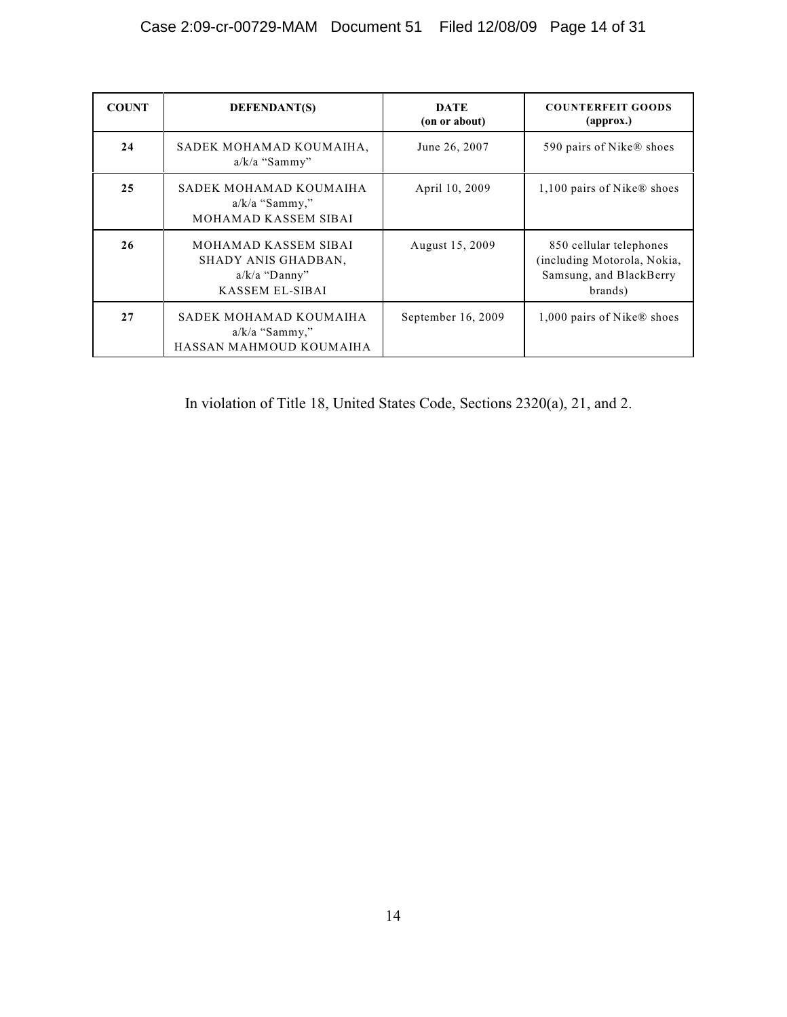| <b>COUNT</b> | <b>DEFENDANT(S)</b>                                                               | <b>DATE</b><br>(on or about) | <b>COUNTERFEIT GOODS</b><br>(approx.)                                                        |
|--------------|-----------------------------------------------------------------------------------|------------------------------|----------------------------------------------------------------------------------------------|
| 24           | SADEK MOHAMAD KOUMAIHA,<br>$a/k/a$ "Sammy"                                        | June 26, 2007                | 590 pairs of Nike® shoes                                                                     |
| 25           | SADEK MOHAMAD KOUMAIHA<br>$a/k/a$ "Sammy,"<br>MOHAMAD KASSEM SIBAI                | April 10, 2009               | 1,100 pairs of Nike® shoes                                                                   |
| 26           | MOHAMAD KASSEM SIBAI<br>SHADY ANIS GHADBAN,<br>$a/k/a$ "Danny"<br>KASSEM EL-SIBAI | August 15, 2009              | 850 cellular telephones<br>(including Motorola, Nokia,<br>Samsung, and BlackBerry<br>brands) |
| 27           | SADEK MOHAMAD KOUMAIHA<br>$a/k/a$ "Sammy,"<br>HASSAN MAHMOUD KOUMAIHA             | September 16, 2009           | 1,000 pairs of Nike® shoes                                                                   |

In violation of Title 18, United States Code, Sections 2320(a), 21, and 2.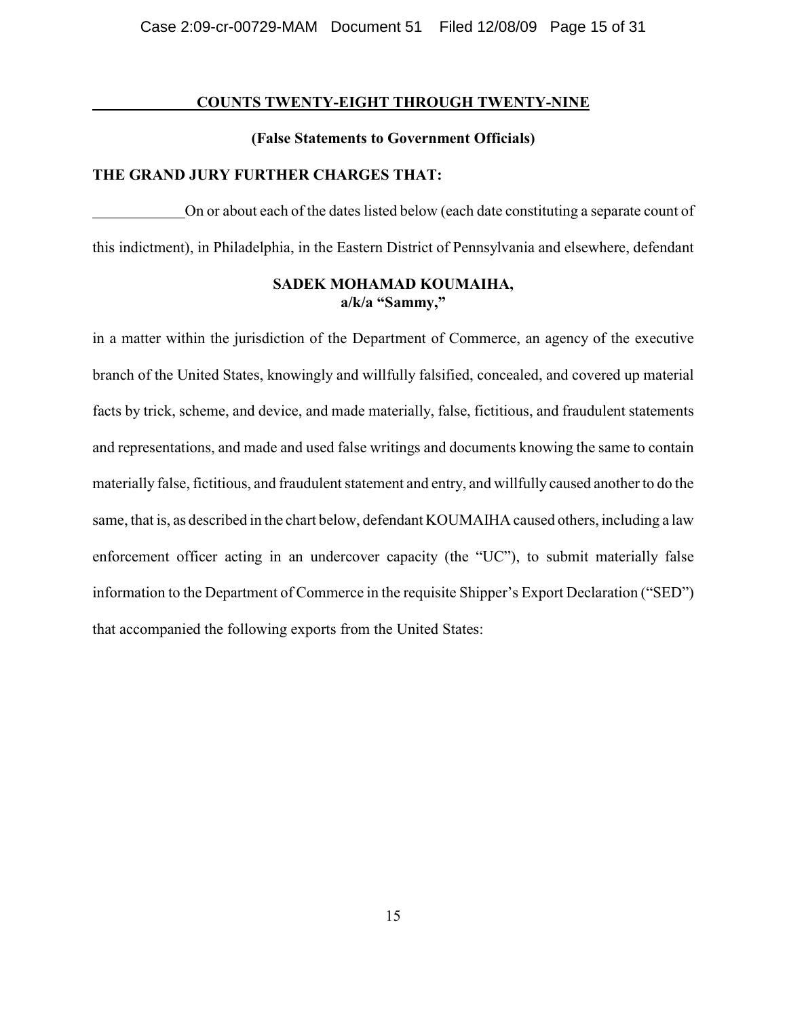### **COUNTS TWENTY-EIGHT THROUGH TWENTY-NINE**

#### **(False Statements to Government Officials)**

### **THE GRAND JURY FURTHER CHARGES THAT:**

On or about each of the dates listed below (each date constituting a separate count of this indictment), in Philadelphia, in the Eastern District of Pennsylvania and elsewhere, defendant

## **SADEK MOHAMAD KOUMAIHA, a/k/a "Sammy,"**

in a matter within the jurisdiction of the Department of Commerce, an agency of the executive branch of the United States, knowingly and willfully falsified, concealed, and covered up material facts by trick, scheme, and device, and made materially, false, fictitious, and fraudulent statements and representations, and made and used false writings and documents knowing the same to contain materially false, fictitious, and fraudulent statement and entry, and willfully caused another to do the same, that is, as described in the chart below, defendant KOUMAIHA caused others, including a law enforcement officer acting in an undercover capacity (the "UC"), to submit materially false information to the Department of Commerce in the requisite Shipper's Export Declaration ("SED") that accompanied the following exports from the United States: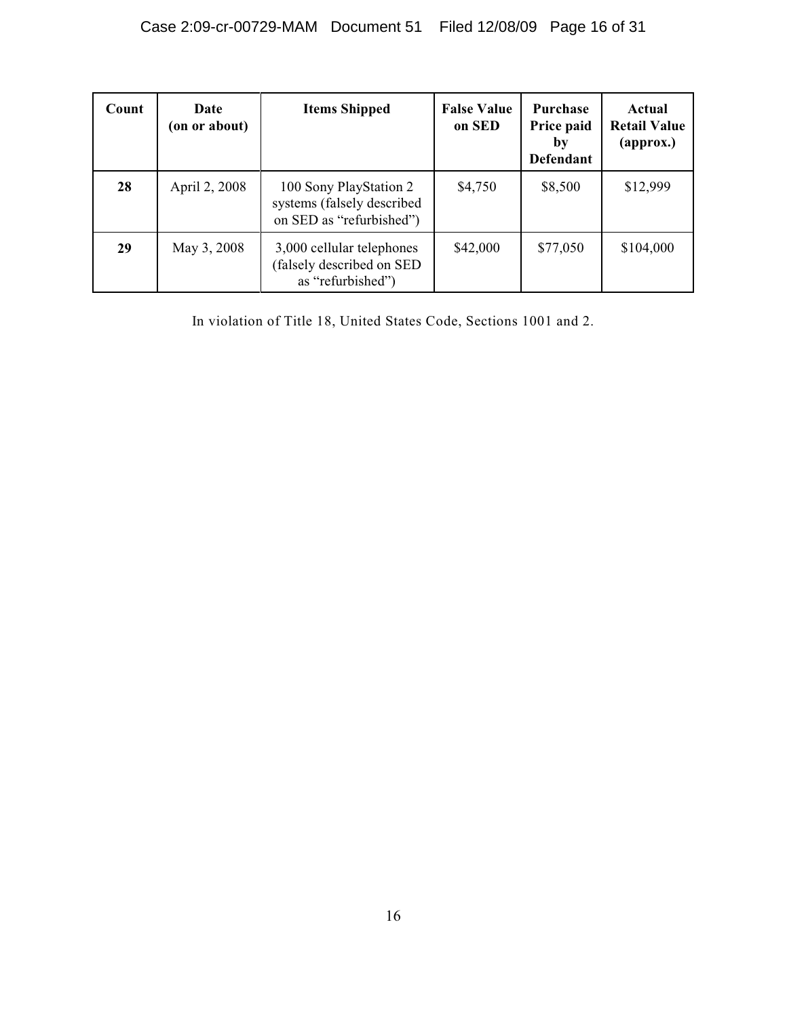| Count | Date<br>(on or about) | <b>Items Shipped</b>                                                             | <b>False Value</b><br>on SED | <b>Purchase</b><br>Price paid<br>by<br><b>Defendant</b> | Actual<br><b>Retail Value</b><br>${\bf (approx.)}$ |
|-------|-----------------------|----------------------------------------------------------------------------------|------------------------------|---------------------------------------------------------|----------------------------------------------------|
| 28    | April 2, 2008         | 100 Sony PlayStation 2<br>systems (falsely described<br>on SED as "refurbished") | \$4,750                      | \$8,500                                                 | \$12,999                                           |
| 29    | May 3, 2008           | 3,000 cellular telephones<br>falsely described on SED<br>as "refurbished")       | \$42,000                     | \$77,050                                                | \$104,000                                          |

In violation of Title 18, United States Code, Sections 1001 and 2.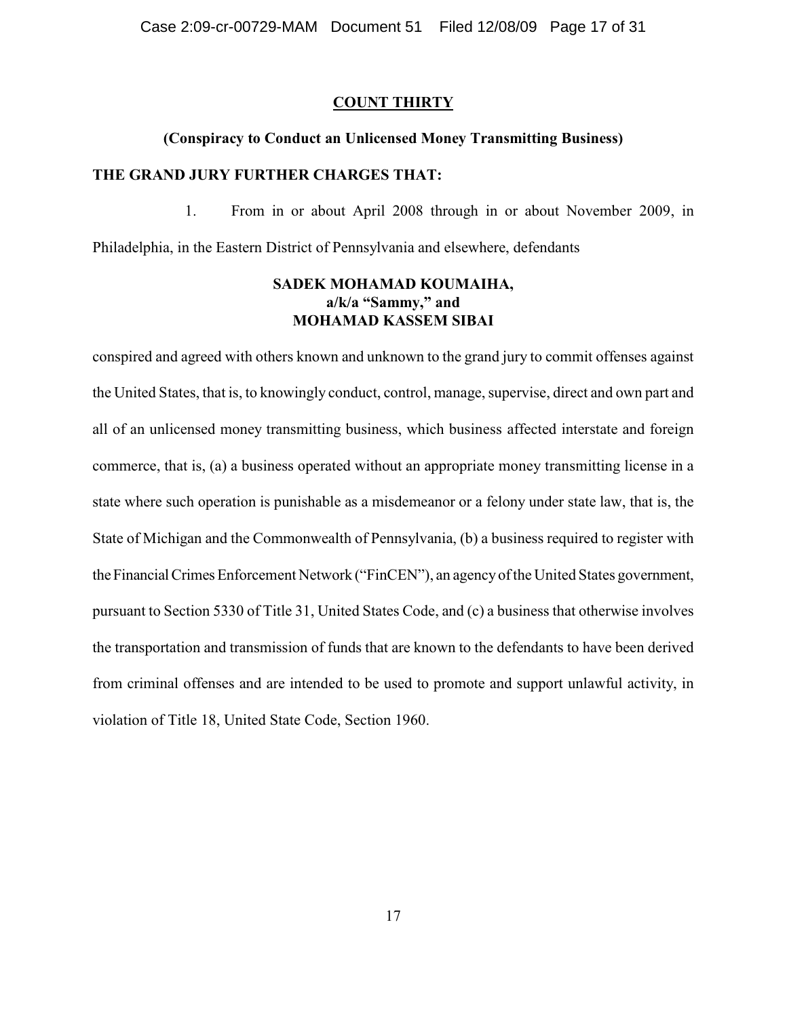## **COUNT THIRTY**

### **(Conspiracy to Conduct an Unlicensed Money Transmitting Business)**

### **THE GRAND JURY FURTHER CHARGES THAT:**

1. From in or about April 2008 through in or about November 2009, in

Philadelphia, in the Eastern District of Pennsylvania and elsewhere, defendants

## **SADEK MOHAMAD KOUMAIHA, a/k/a "Sammy," and MOHAMAD KASSEM SIBAI**

conspired and agreed with others known and unknown to the grand jury to commit offenses against the United States, that is, to knowingly conduct, control, manage, supervise, direct and own part and all of an unlicensed money transmitting business, which business affected interstate and foreign commerce, that is, (a) a business operated without an appropriate money transmitting license in a state where such operation is punishable as a misdemeanor or a felony under state law, that is, the State of Michigan and the Commonwealth of Pennsylvania, (b) a business required to register with the Financial Crimes Enforcement Network ("FinCEN"), an agency of the United States government, pursuant to Section 5330 of Title 31, United States Code, and (c) a business that otherwise involves the transportation and transmission of funds that are known to the defendants to have been derived from criminal offenses and are intended to be used to promote and support unlawful activity, in violation of Title 18, United State Code, Section 1960.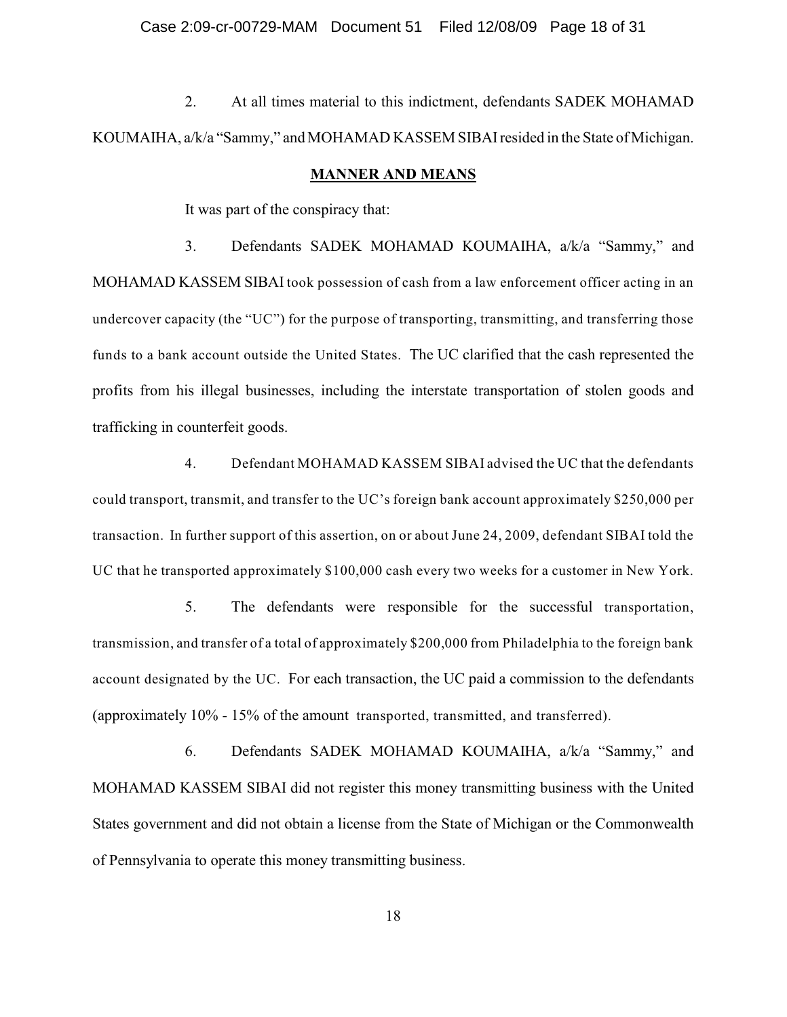2. At all times material to this indictment, defendants SADEK MOHAMAD KOUMAIHA, a/k/a "Sammy," and MOHAMAD KASSEM SIBAI resided in the State of Michigan.

### **MANNER AND MEANS**

It was part of the conspiracy that:

3. Defendants SADEK MOHAMAD KOUMAIHA, a/k/a "Sammy," and MOHAMAD KASSEM SIBAI took possession of cash from a law enforcement officer acting in an undercover capacity (the "UC") for the purpose of transporting, transmitting, and transferring those funds to a bank account outside the United States. The UC clarified that the cash represented the profits from his illegal businesses, including the interstate transportation of stolen goods and trafficking in counterfeit goods.

4. Defendant MOHAMAD KASSEM SIBAI advised the UC that the defendants could transport, transmit, and transfer to the UC's foreign bank account approximately \$250,000 per transaction. In further support of this assertion, on or about June 24, 2009, defendant SIBAI told the UC that he transported approximately \$100,000 cash every two weeks for a customer in New York.

5. The defendants were responsible for the successful transportation, transmission, and transfer of a total of approximately \$200,000 from Philadelphia to the foreign bank account designated by the UC. For each transaction, the UC paid a commission to the defendants (approximately 10% - 15% of the amount transported, transmitted, and transferred).

6. Defendants SADEK MOHAMAD KOUMAIHA, a/k/a "Sammy," and MOHAMAD KASSEM SIBAI did not register this money transmitting business with the United States government and did not obtain a license from the State of Michigan or the Commonwealth of Pennsylvania to operate this money transmitting business.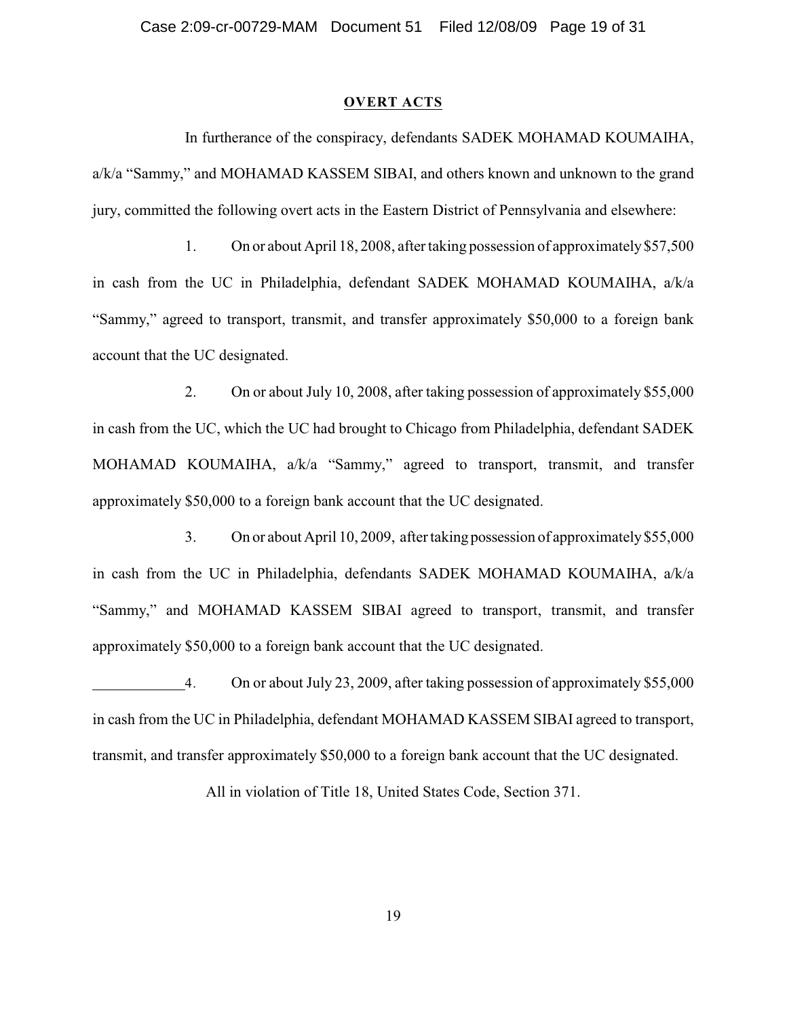#### **OVERT ACTS**

In furtherance of the conspiracy, defendants SADEK MOHAMAD KOUMAIHA, a/k/a "Sammy," and MOHAMAD KASSEM SIBAI, and others known and unknown to the grand jury, committed the following overt acts in the Eastern District of Pennsylvania and elsewhere:

1. On or about April 18, 2008, after taking possession of approximately \$57,500 in cash from the UC in Philadelphia, defendant SADEK MOHAMAD KOUMAIHA, a/k/a "Sammy," agreed to transport, transmit, and transfer approximately \$50,000 to a foreign bank account that the UC designated.

2. On or about July 10, 2008, after taking possession of approximately \$55,000 in cash from the UC, which the UC had brought to Chicago from Philadelphia, defendant SADEK MOHAMAD KOUMAIHA, a/k/a "Sammy," agreed to transport, transmit, and transfer approximately \$50,000 to a foreign bank account that the UC designated.

3. On or about April 10, 2009, after taking possession of approximately \$55,000 in cash from the UC in Philadelphia, defendants SADEK MOHAMAD KOUMAIHA, a/k/a "Sammy," and MOHAMAD KASSEM SIBAI agreed to transport, transmit, and transfer approximately \$50,000 to a foreign bank account that the UC designated.

4. On or about July 23, 2009, after taking possession of approximately \$55,000 in cash from the UC in Philadelphia, defendant MOHAMAD KASSEM SIBAI agreed to transport, transmit, and transfer approximately \$50,000 to a foreign bank account that the UC designated.

All in violation of Title 18, United States Code, Section 371.

19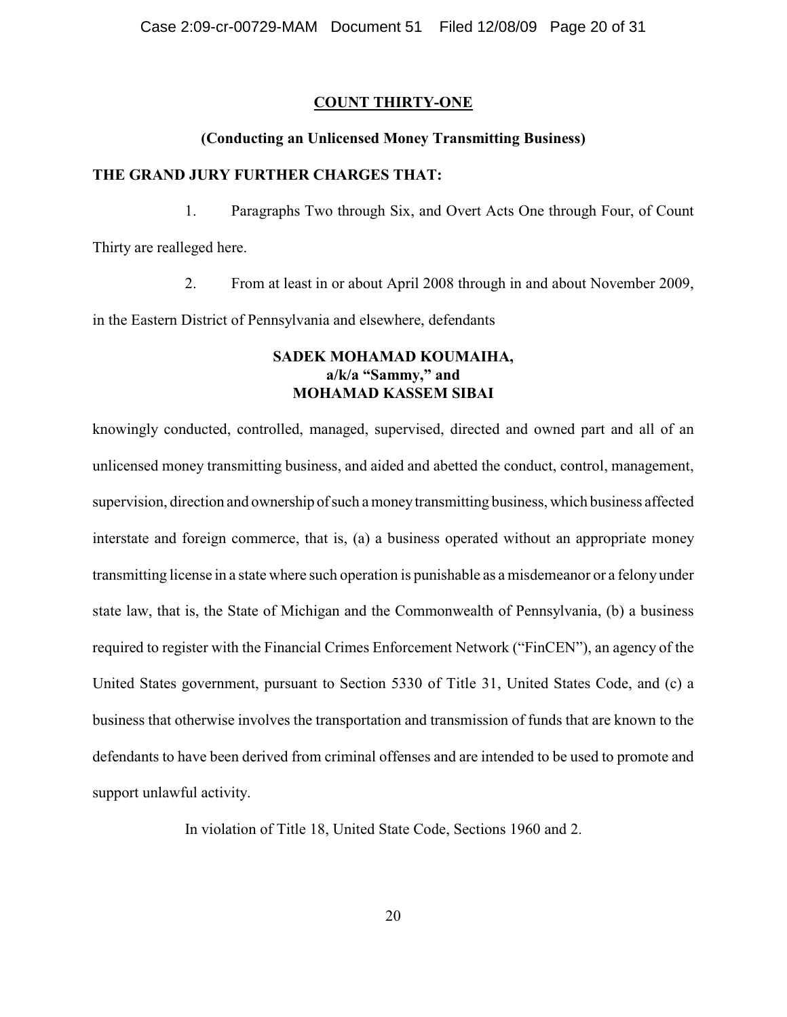## **COUNT THIRTY-ONE**

## **(Conducting an Unlicensed Money Transmitting Business)**

## **THE GRAND JURY FURTHER CHARGES THAT:**

1. Paragraphs Two through Six, and Overt Acts One through Four, of Count Thirty are realleged here.

2. From at least in or about April 2008 through in and about November 2009,

in the Eastern District of Pennsylvania and elsewhere, defendants

# **SADEK MOHAMAD KOUMAIHA, a/k/a "Sammy," and MOHAMAD KASSEM SIBAI**

knowingly conducted, controlled, managed, supervised, directed and owned part and all of an unlicensed money transmitting business, and aided and abetted the conduct, control, management, supervision, direction and ownership of such a money transmitting business, which business affected interstate and foreign commerce, that is, (a) a business operated without an appropriate money transmitting license in a state where such operation is punishable as a misdemeanor or a felony under state law, that is, the State of Michigan and the Commonwealth of Pennsylvania, (b) a business required to register with the Financial Crimes Enforcement Network ("FinCEN"), an agency of the United States government, pursuant to Section 5330 of Title 31, United States Code, and (c) a business that otherwise involves the transportation and transmission of funds that are known to the defendants to have been derived from criminal offenses and are intended to be used to promote and support unlawful activity.

In violation of Title 18, United State Code, Sections 1960 and 2.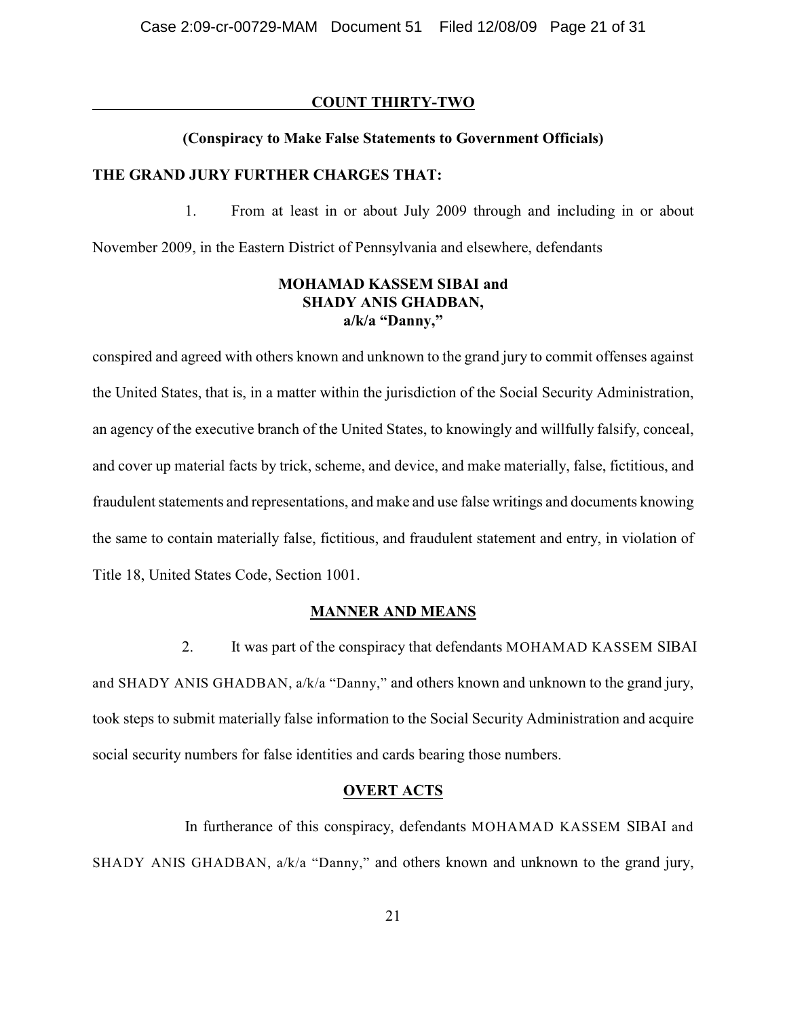#### **COUNT THIRTY-TWO**

#### **(Conspiracy to Make False Statements to Government Officials)**

### **THE GRAND JURY FURTHER CHARGES THAT:**

1. From at least in or about July 2009 through and including in or about

November 2009, in the Eastern District of Pennsylvania and elsewhere, defendants

## **MOHAMAD KASSEM SIBAI and SHADY ANIS GHADBAN, a/k/a "Danny,"**

conspired and agreed with others known and unknown to the grand jury to commit offenses against the United States, that is, in a matter within the jurisdiction of the Social Security Administration, an agency of the executive branch of the United States, to knowingly and willfully falsify, conceal, and cover up material facts by trick, scheme, and device, and make materially, false, fictitious, and fraudulent statements and representations, and make and use false writings and documents knowing the same to contain materially false, fictitious, and fraudulent statement and entry, in violation of Title 18, United States Code, Section 1001.

### **MANNER AND MEANS**

 2. It was part of the conspiracy that defendants MOHAMAD KASSEM SIBAI and SHADY ANIS GHADBAN, a/k/a "Danny," and others known and unknown to the grand jury, took steps to submit materially false information to the Social Security Administration and acquire social security numbers for false identities and cards bearing those numbers.

### **OVERT ACTS**

In furtherance of this conspiracy, defendants MOHAMAD KASSEM SIBAI and SHADY ANIS GHADBAN, a/k/a "Danny," and others known and unknown to the grand jury,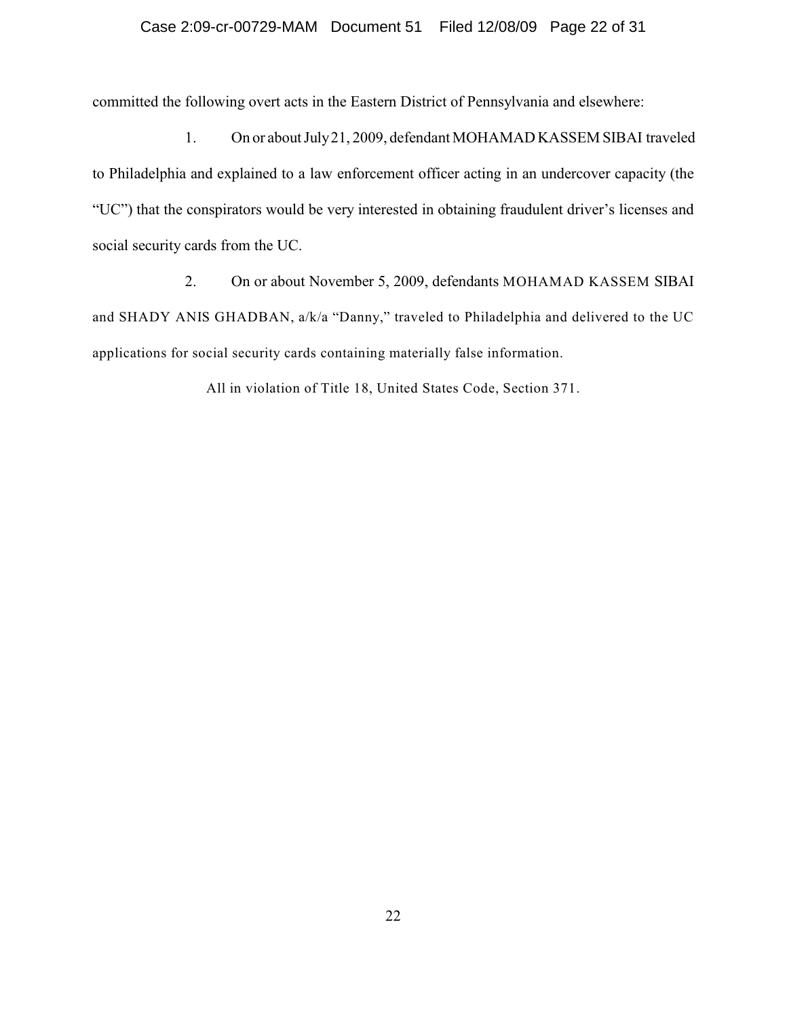### Case 2:09-cr-00729-MAM Document 51 Filed 12/08/09 Page 22 of 31

committed the following overt acts in the Eastern District of Pennsylvania and elsewhere:

1. On or about July 21, 2009, defendant MOHAMAD KASSEM SIBAI traveled to Philadelphia and explained to a law enforcement officer acting in an undercover capacity (the "UC") that the conspirators would be very interested in obtaining fraudulent driver's licenses and social security cards from the UC.

2. On or about November 5, 2009, defendants MOHAMAD KASSEM SIBAI and SHADY ANIS GHADBAN, a/k/a "Danny," traveled to Philadelphia and delivered to the UC applications for social security cards containing materially false information.

All in violation of Title 18, United States Code, Section 371.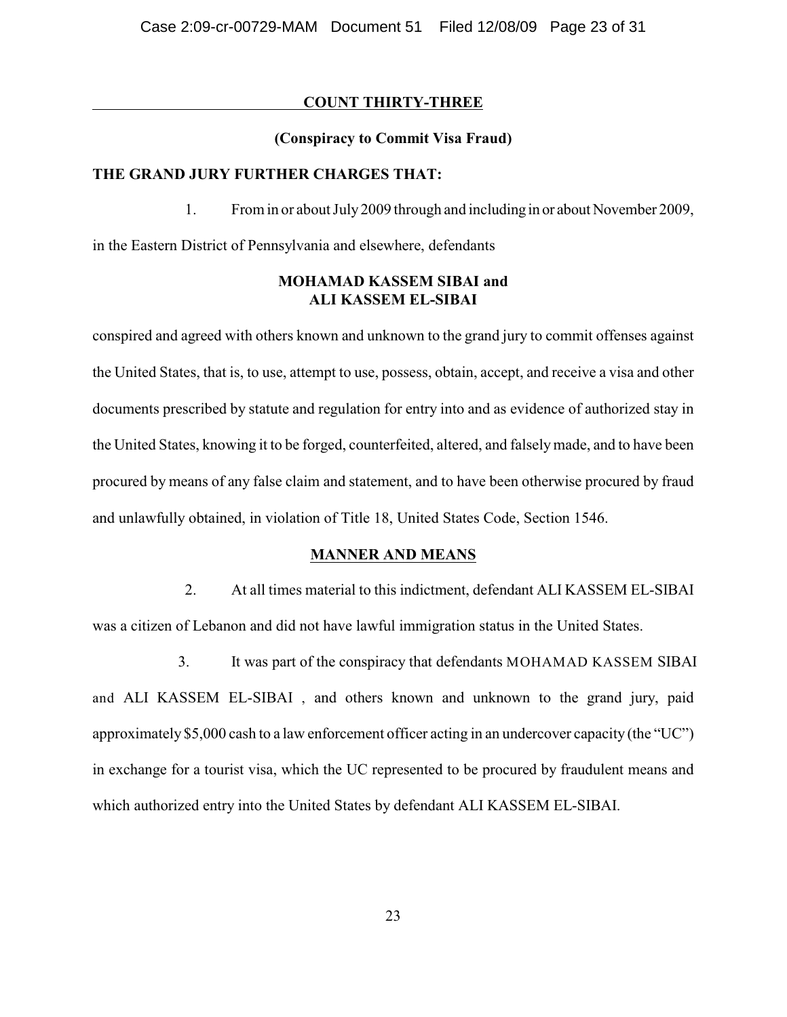### **COUNT THIRTY-THREE**

## **(Conspiracy to Commit Visa Fraud)**

### **THE GRAND JURY FURTHER CHARGES THAT:**

1. From in or about July 2009 through and including in or about November 2009,

in the Eastern District of Pennsylvania and elsewhere, defendants

## **MOHAMAD KASSEM SIBAI and ALI KASSEM EL-SIBAI**

conspired and agreed with others known and unknown to the grand jury to commit offenses against the United States, that is, to use, attempt to use, possess, obtain, accept, and receive a visa and other documents prescribed by statute and regulation for entry into and as evidence of authorized stay in the United States, knowing it to be forged, counterfeited, altered, and falsely made, and to have been procured by means of any false claim and statement, and to have been otherwise procured by fraud and unlawfully obtained, in violation of Title 18, United States Code, Section 1546.

## **MANNER AND MEANS**

2. At all times material to this indictment, defendant ALI KASSEM EL-SIBAI was a citizen of Lebanon and did not have lawful immigration status in the United States.

 3. It was part of the conspiracy that defendants MOHAMAD KASSEM SIBAI and ALI KASSEM EL-SIBAI , and others known and unknown to the grand jury, paid approximately \$5,000 cash to a law enforcement officer acting in an undercover capacity (the "UC") in exchange for a tourist visa, which the UC represented to be procured by fraudulent means and which authorized entry into the United States by defendant ALI KASSEM EL-SIBAI.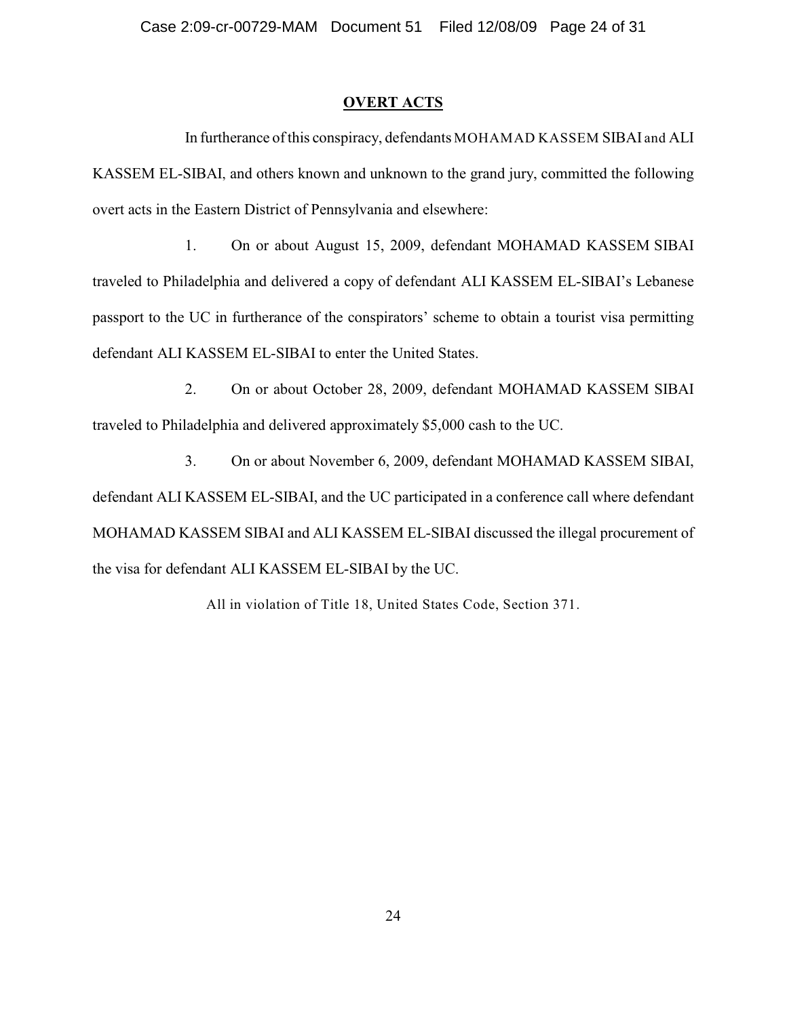### **OVERT ACTS**

In furtherance of this conspiracy, defendants MOHAMAD KASSEM SIBAI and ALI KASSEM EL-SIBAI, and others known and unknown to the grand jury, committed the following overt acts in the Eastern District of Pennsylvania and elsewhere:

1. On or about August 15, 2009, defendant MOHAMAD KASSEM SIBAI traveled to Philadelphia and delivered a copy of defendant ALI KASSEM EL-SIBAI's Lebanese passport to the UC in furtherance of the conspirators' scheme to obtain a tourist visa permitting defendant ALI KASSEM EL-SIBAI to enter the United States.

2. On or about October 28, 2009, defendant MOHAMAD KASSEM SIBAI traveled to Philadelphia and delivered approximately \$5,000 cash to the UC.

3. On or about November 6, 2009, defendant MOHAMAD KASSEM SIBAI, defendant ALI KASSEM EL-SIBAI, and the UC participated in a conference call where defendant MOHAMAD KASSEM SIBAI and ALI KASSEM EL-SIBAI discussed the illegal procurement of the visa for defendant ALI KASSEM EL-SIBAI by the UC.

All in violation of Title 18, United States Code, Section 371.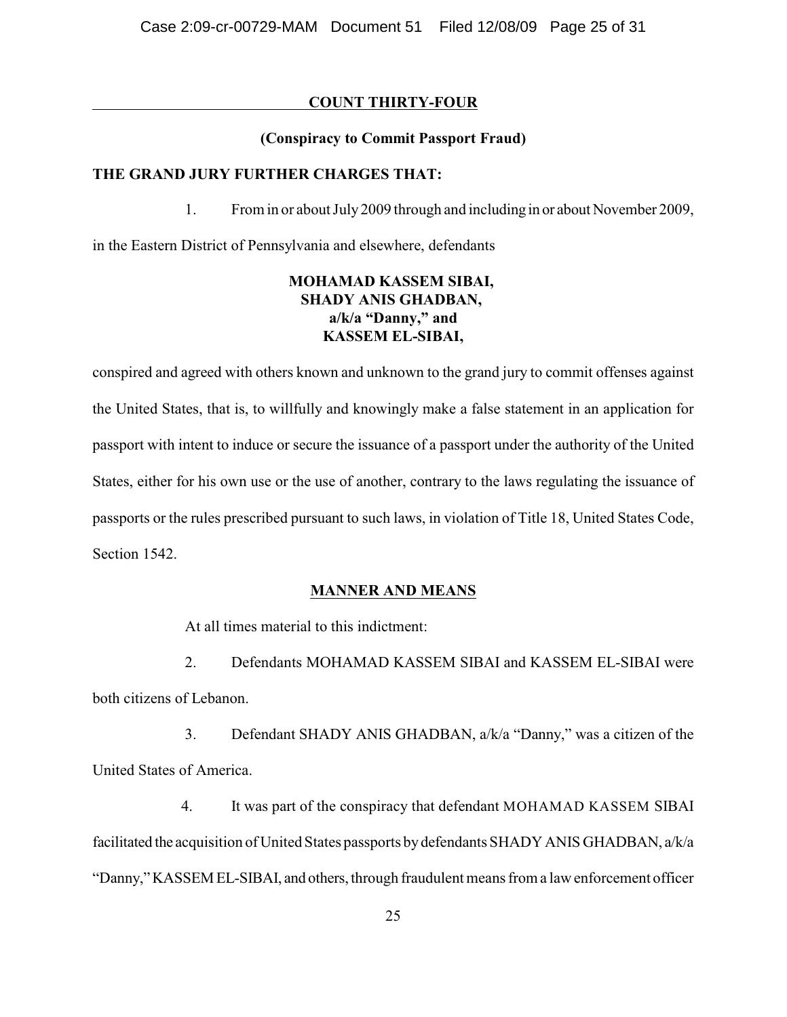### **COUNT THIRTY-FOUR**

### **(Conspiracy to Commit Passport Fraud)**

### **THE GRAND JURY FURTHER CHARGES THAT:**

1. From in or about July 2009 through and including in or about November 2009,

in the Eastern District of Pennsylvania and elsewhere, defendants

## **MOHAMAD KASSEM SIBAI, SHADY ANIS GHADBAN, a/k/a "Danny," and KASSEM EL-SIBAI,**

conspired and agreed with others known and unknown to the grand jury to commit offenses against the United States, that is, to willfully and knowingly make a false statement in an application for passport with intent to induce or secure the issuance of a passport under the authority of the United States, either for his own use or the use of another, contrary to the laws regulating the issuance of passports or the rules prescribed pursuant to such laws, in violation of Title 18, United States Code, Section 1542.

## **MANNER AND MEANS**

At all times material to this indictment:

2. Defendants MOHAMAD KASSEM SIBAI and KASSEM EL-SIBAI were both citizens of Lebanon.

3. Defendant SHADY ANIS GHADBAN, a/k/a "Danny," was a citizen of the United States of America.

 4. It was part of the conspiracy that defendant MOHAMAD KASSEM SIBAI facilitated the acquisition of United States passports by defendants SHADY ANIS GHADBAN, a/k/a "Danny," KASSEM EL-SIBAI, and others, through fraudulent means from a law enforcement officer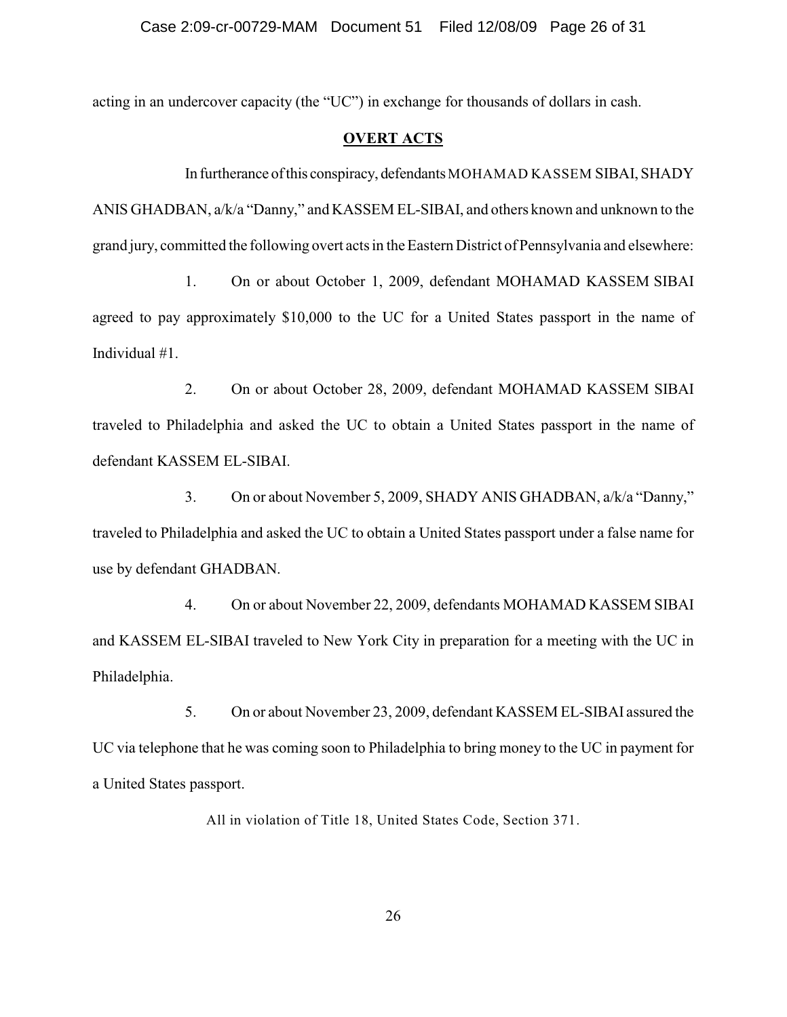acting in an undercover capacity (the "UC") in exchange for thousands of dollars in cash.

#### **OVERT ACTS**

In furtherance of this conspiracy, defendants MOHAMAD KASSEM SIBAI, SHADY ANIS GHADBAN, a/k/a "Danny," and KASSEM EL-SIBAI, and others known and unknown to the grand jury, committed the following overt acts in the Eastern District of Pennsylvania and elsewhere:

1. On or about October 1, 2009, defendant MOHAMAD KASSEM SIBAI agreed to pay approximately \$10,000 to the UC for a United States passport in the name of Individual #1.

2. On or about October 28, 2009, defendant MOHAMAD KASSEM SIBAI traveled to Philadelphia and asked the UC to obtain a United States passport in the name of defendant KASSEM EL-SIBAI.

3. On or about November 5, 2009, SHADY ANIS GHADBAN, a/k/a "Danny," traveled to Philadelphia and asked the UC to obtain a United States passport under a false name for use by defendant GHADBAN.

4. On or about November 22, 2009, defendants MOHAMAD KASSEM SIBAI and KASSEM EL-SIBAI traveled to New York City in preparation for a meeting with the UC in Philadelphia.

5. On or about November 23, 2009, defendant KASSEM EL-SIBAI assured the UC via telephone that he was coming soon to Philadelphia to bring money to the UC in payment for a United States passport.

All in violation of Title 18, United States Code, Section 371.

26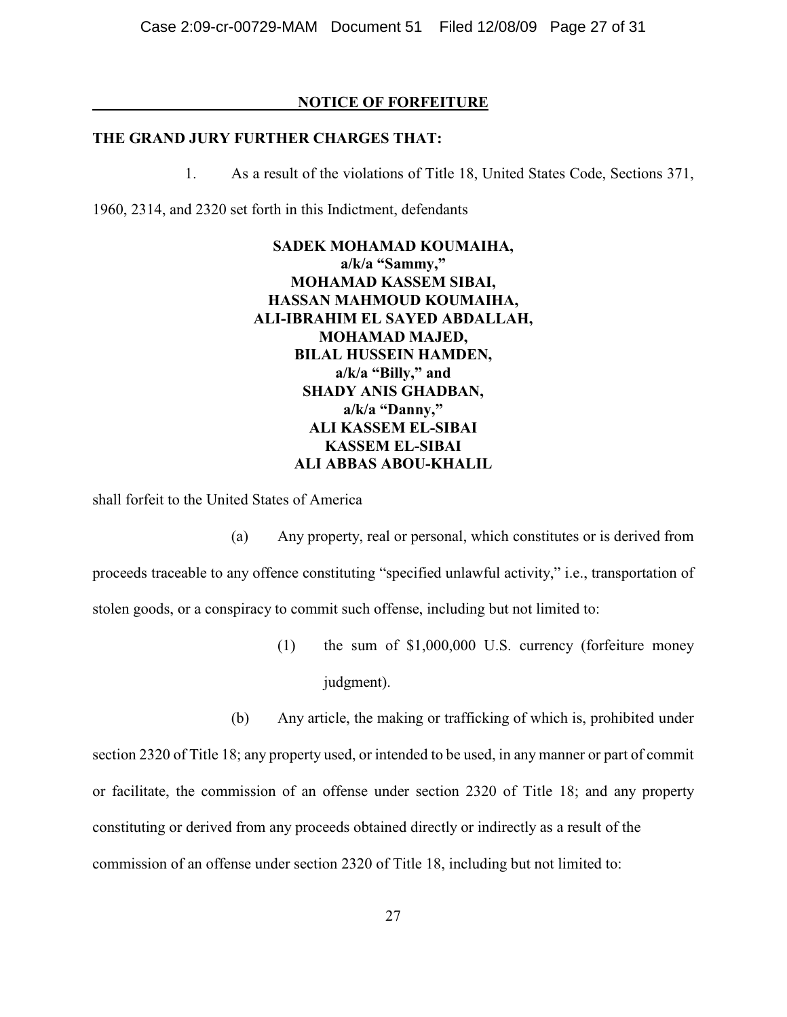### **NOTICE OF FORFEITURE**

### **THE GRAND JURY FURTHER CHARGES THAT:**

1. As a result of the violations of Title 18, United States Code, Sections 371,

1960, 2314, and 2320 set forth in this Indictment, defendants

# **SADEK MOHAMAD KOUMAIHA, a/k/a "Sammy," MOHAMAD KASSEM SIBAI, HASSAN MAHMOUD KOUMAIHA, ALI-IBRAHIM EL SAYED ABDALLAH, MOHAMAD MAJED, BILAL HUSSEIN HAMDEN, a/k/a "Billy," and SHADY ANIS GHADBAN, a/k/a "Danny," ALI KASSEM EL-SIBAI KASSEM EL-SIBAI ALI ABBAS ABOU-KHALIL**

shall forfeit to the United States of America

(a) Any property, real or personal, which constitutes or is derived from proceeds traceable to any offence constituting "specified unlawful activity," i.e., transportation of stolen goods, or a conspiracy to commit such offense, including but not limited to:

- (1) the sum of \$1,000,000 U.S. currency (forfeiture money judgment).
- (b) Any article, the making or trafficking of which is, prohibited under

section 2320 of Title 18; any property used, or intended to be used, in any manner or part of commit or facilitate, the commission of an offense under section 2320 of Title 18; and any property constituting or derived from any proceeds obtained directly or indirectly as a result of the commission of an offense under section 2320 of Title 18, including but not limited to: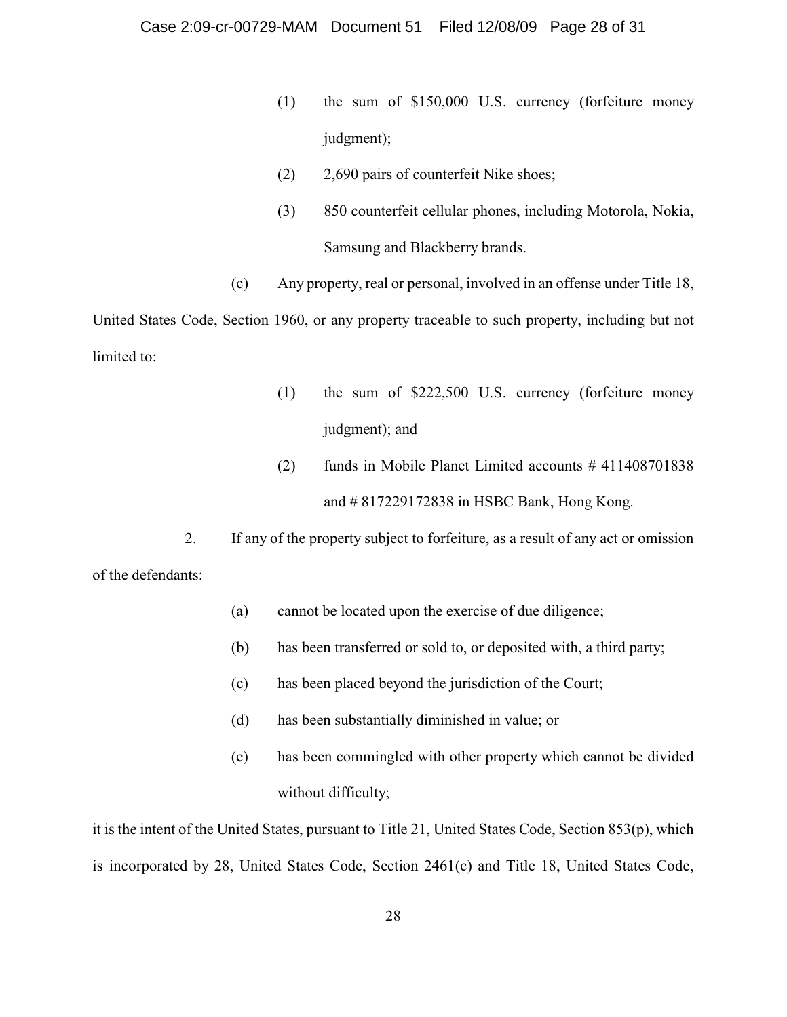- (1) the sum of \$150,000 U.S. currency (forfeiture money judgment);
- (2) 2,690 pairs of counterfeit Nike shoes;
- (3) 850 counterfeit cellular phones, including Motorola, Nokia, Samsung and Blackberry brands.
- (c) Any property, real or personal, involved in an offense under Title 18,

United States Code, Section 1960, or any property traceable to such property, including but not limited to:

- (1) the sum of \$222,500 U.S. currency (forfeiture money judgment); and
- (2) funds in Mobile Planet Limited accounts # 411408701838 and # 817229172838 in HSBC Bank, Hong Kong.

2. If any of the property subject to forfeiture, as a result of any act or omission

of the defendants:

- (a) cannot be located upon the exercise of due diligence;
- (b) has been transferred or sold to, or deposited with, a third party;
- (c) has been placed beyond the jurisdiction of the Court;
- (d) has been substantially diminished in value; or
- (e) has been commingled with other property which cannot be divided without difficulty;

it is the intent of the United States, pursuant to Title 21, United States Code, Section 853(p), which is incorporated by 28, United States Code, Section 2461(c) and Title 18, United States Code,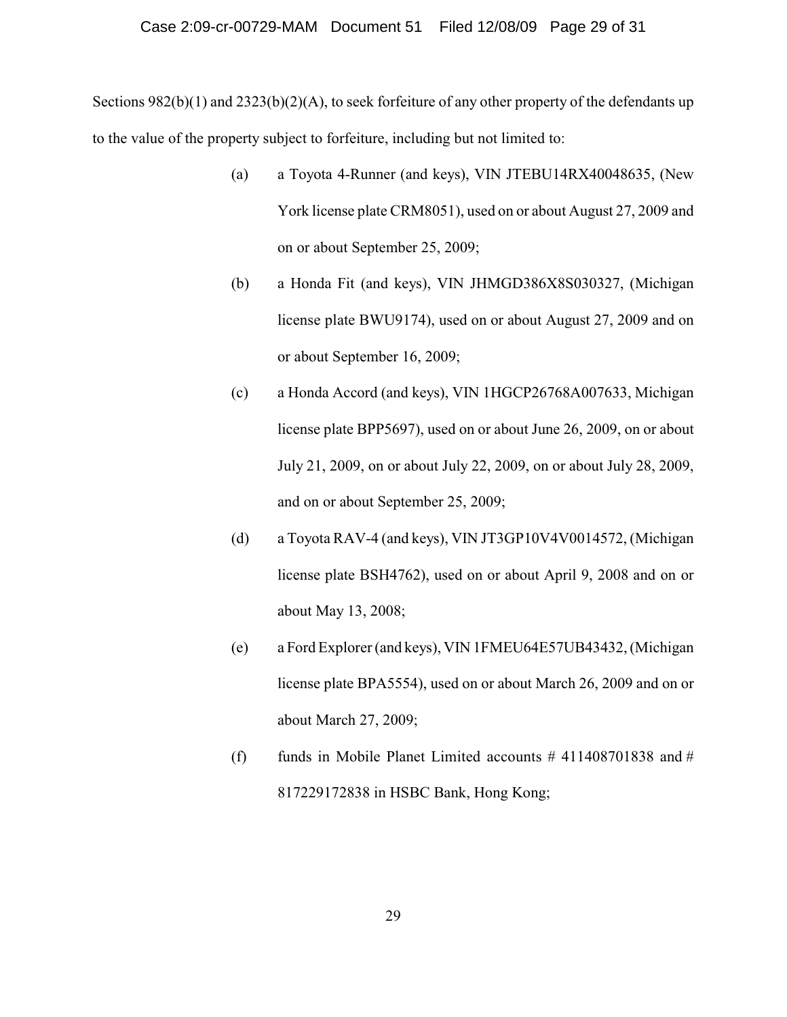Sections 982(b)(1) and 2323(b)(2)(A), to seek forfeiture of any other property of the defendants up to the value of the property subject to forfeiture, including but not limited to:

- (a) a Toyota 4-Runner (and keys), VIN JTEBU14RX40048635, (New York license plate CRM8051), used on or about August 27, 2009 and on or about September 25, 2009;
- (b) a Honda Fit (and keys), VIN JHMGD386X8S030327, (Michigan license plate BWU9174), used on or about August 27, 2009 and on or about September 16, 2009;
- (c) a Honda Accord (and keys), VIN 1HGCP26768A007633, Michigan license plate BPP5697), used on or about June 26, 2009, on or about July 21, 2009, on or about July 22, 2009, on or about July 28, 2009, and on or about September 25, 2009;
- (d) a Toyota RAV-4 (and keys), VIN JT3GP10V4V0014572, (Michigan license plate BSH4762), used on or about April 9, 2008 and on or about May 13, 2008;
- (e) a Ford Explorer (and keys), VIN 1FMEU64E57UB43432, (Michigan license plate BPA5554), used on or about March 26, 2009 and on or about March 27, 2009;
- (f) funds in Mobile Planet Limited accounts  $\#$  411408701838 and  $\#$ 817229172838 in HSBC Bank, Hong Kong;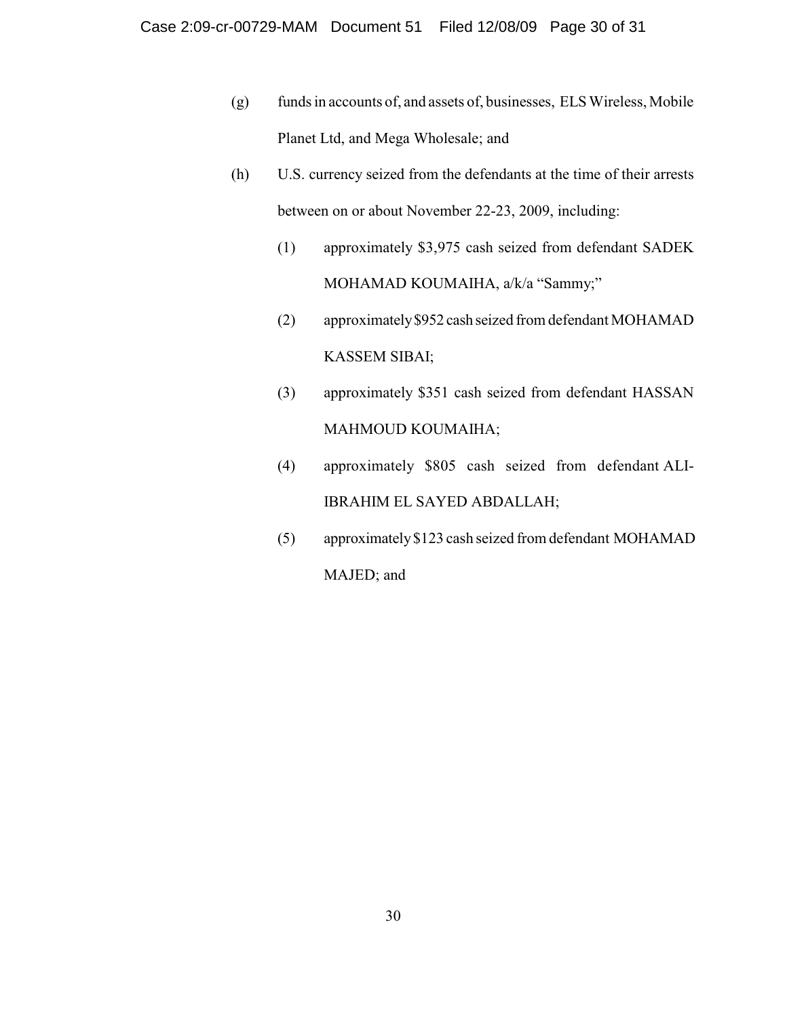- (g) funds in accounts of, and assets of, businesses, ELS Wireless, Mobile Planet Ltd, and Mega Wholesale; and
- (h) U.S. currency seized from the defendants at the time of their arrests between on or about November 22-23, 2009, including:
	- (1) approximately \$3,975 cash seized from defendant SADEK MOHAMAD KOUMAIHA, a/k/a "Sammy;"
	- (2) approximately \$952 cash seized from defendant MOHAMAD KASSEM SIBAI;
	- (3) approximately \$351 cash seized from defendant HASSAN MAHMOUD KOUMAIHA;
	- (4) approximately \$805 cash seized from defendant ALI-IBRAHIM EL SAYED ABDALLAH;
	- (5) approximately \$123 cash seized from defendant MOHAMAD MAJED; and